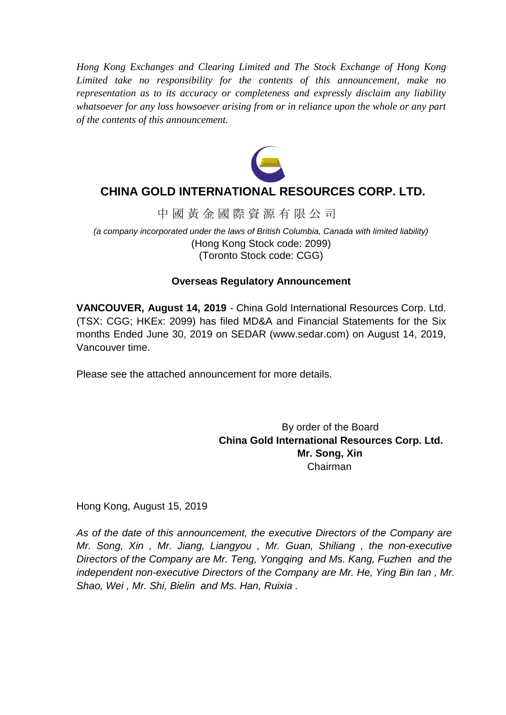*Hong Kong Exchanges and Clearing Limited and The Stock Exchange of Hong Kong Limited take no responsibility for the contents of this announcement, make no representation as to its accuracy or completeness and expressly disclaim any liability whatsoever for any loss howsoever arising from or in reliance upon the whole or any part of the contents of this announcement.*



# **CHINA GOLD INTERNATIONAL RESOURCES CORP. LTD.**

中 國 黃 金 國 際 資 源 有 限 公 司

*(a company incorporated under the laws of British Columbia, Canada with limited liability)* (Hong Kong Stock code: 2099) (Toronto Stock code: CGG)

# **Overseas Regulatory Announcement**

**VANCOUVER, August 14, 2019** - China Gold International Resources Corp. Ltd. (TSX: CGG; HKEx: 2099) has filed MD&A and Financial Statements for the Six months Ended June 30, 2019 on SEDAR (www.sedar.com) on August 14, 2019, Vancouver time.

Please see the attached announcement for more details.

By order of the Board **China Gold International Resources Corp. Ltd. Mr. Song, Xin** Chairman

Hong Kong, August 15, 2019

*As of the date of this announcement, the executive Directors of the Company are Mr. Song, Xin , Mr. Jiang, Liangyou , Mr. Guan, Shiliang , the non-executive Directors of the Company are Mr. Teng, Yongqing and Ms. Kang, Fuzhen and the independent non-executive Directors of the Company are Mr. He, Ying Bin Ian , Mr. Shao, Wei , Mr. Shi, Bielin and Ms. Han, Ruixia .*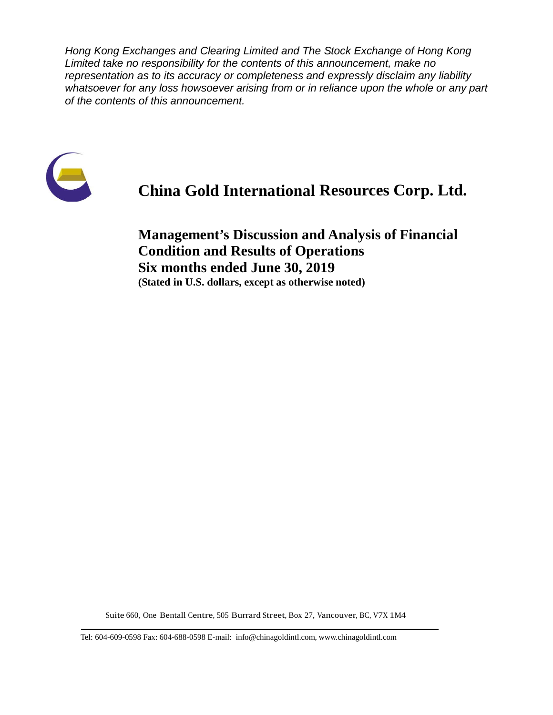*Hong Kong Exchanges and Clearing Limited and The Stock Exchange of Hong Kong Limited take no responsibility for the contents of this announcement, make no representation as to its accuracy or completeness and expressly disclaim any liability whatsoever for any loss howsoever arising from or in reliance upon the whole or any part of the contents of this announcement.*



# **China Gold International Resources Corp. Ltd.**

**Management's Discussion and Analysis of Financial Condition and Results of Operations Six months ended June 30, 2019 (Stated in U.S. dollars, except as otherwise noted)**

Suite 660, One Bentall Centre, 505 Burrard Street, Box 27, Vancouver, BC, V7X 1M4

Tel: 604-609-0598 Fax: 604-688-0598 E-mail: info@chinagoldintl.com, [www.chinagoldintl.com](http://www.chinagoldintl.com/)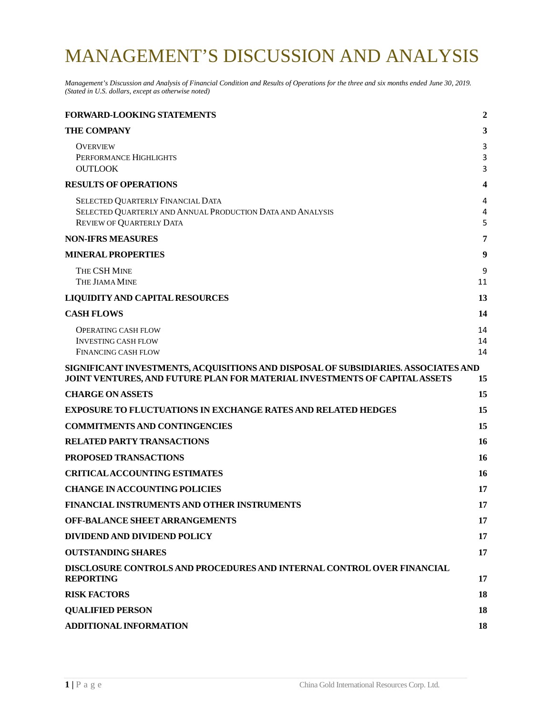# MANAGEMENT'S DISCUSSION AND ANALYSIS

*Management's Discussion and Analysis of Financial Condition and Results of Operations for the three and six months ended June 30, 2019. (Stated in U.S. dollars, except as otherwise noted)*

| <b>FORWARD-LOOKING STATEMENTS</b>                                                                                                                                | $\overline{2}$ |
|------------------------------------------------------------------------------------------------------------------------------------------------------------------|----------------|
| <b>THE COMPANY</b>                                                                                                                                               | 3              |
| <b>OVERVIEW</b><br>PERFORMANCE HIGHLIGHTS<br><b>OUTLOOK</b>                                                                                                      | 3<br>3<br>3    |
| <b>RESULTS OF OPERATIONS</b>                                                                                                                                     | 4              |
| SELECTED QUARTERLY FINANCIAL DATA<br>SELECTED QUARTERLY AND ANNUAL PRODUCTION DATA AND ANALYSIS<br><b>REVIEW OF QUARTERLY DATA</b>                               | 4<br>4<br>5    |
| <b>NON-IFRS MEASURES</b>                                                                                                                                         | 7              |
| <b>MINERAL PROPERTIES</b>                                                                                                                                        | 9              |
| THE CSH MINE<br>THE JIAMA MINE                                                                                                                                   | 9<br>11        |
| <b>LIQUIDITY AND CAPITAL RESOURCES</b>                                                                                                                           | 13             |
| <b>CASH FLOWS</b>                                                                                                                                                | 14             |
| <b>OPERATING CASH FLOW</b><br><b>INVESTING CASH FLOW</b><br><b>FINANCING CASH FLOW</b>                                                                           | 14<br>14<br>14 |
| SIGNIFICANT INVESTMENTS, ACQUISITIONS AND DISPOSAL OF SUBSIDIARIES. ASSOCIATES AND<br>JOINT VENTURES, AND FUTURE PLAN FOR MATERIAL INVESTMENTS OF CAPITAL ASSETS | 15             |
| <b>CHARGE ON ASSETS</b>                                                                                                                                          | 15             |
| <b>EXPOSURE TO FLUCTUATIONS IN EXCHANGE RATES AND RELATED HEDGES</b>                                                                                             | 15             |
| <b>COMMITMENTS AND CONTINGENCIES</b>                                                                                                                             | 15             |
| <b>RELATED PARTY TRANSACTIONS</b>                                                                                                                                | 16             |
| PROPOSED TRANSACTIONS                                                                                                                                            | 16             |
| <b>CRITICALACCOUNTING ESTIMATES</b>                                                                                                                              | 16             |
| <b>CHANGE IN ACCOUNTING POLICIES</b>                                                                                                                             | 17             |
| FINANCIAL INSTRUMENTS AND OTHER INSTRUMENTS                                                                                                                      | 17             |
| <b>OFF-BALANCE SHEET ARRANGEMENTS</b>                                                                                                                            | 17             |
| <b>DIVIDEND AND DIVIDEND POLICY</b>                                                                                                                              | 17             |
| <b>OUTSTANDING SHARES</b>                                                                                                                                        | 17             |
| DISCLOSURE CONTROLS AND PROCEDURES AND INTERNAL CONTROL OVER FINANCIAL<br><b>REPORTING</b>                                                                       | 17             |
| <b>RISK FACTORS</b>                                                                                                                                              | 18             |
| <b>QUALIFIED PERSON</b>                                                                                                                                          | 18             |
| <b>ADDITIONAL INFORMATION</b>                                                                                                                                    | 18             |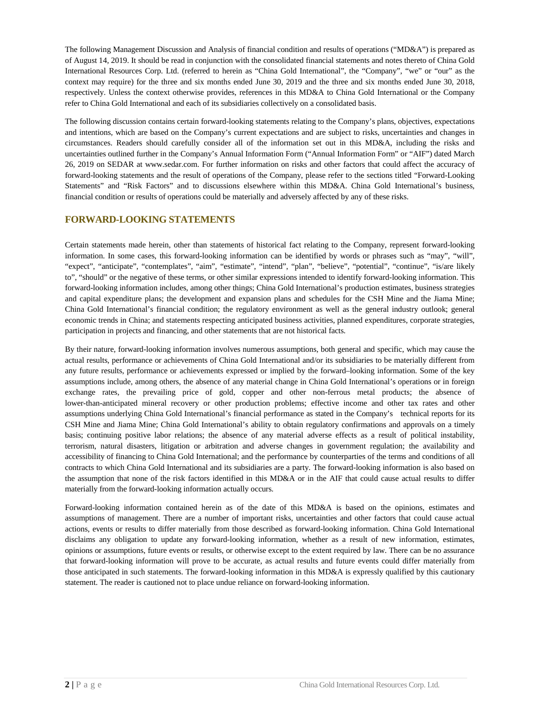The following Management Discussion and Analysis of financial condition and results of operations ("MD&A") is prepared as of August 14, 2019. It should be read in conjunction with the consolidated financial statements and notes thereto of China Gold International Resources Corp. Ltd. (referred to herein as "China Gold International", the "Company", "we" or "our" as the context may require) for the three and six months ended June 30, 2019 and the three and six months ended June 30, 2018, respectively. Unless the context otherwise provides, references in this MD&A to China Gold International or the Company refer to China Gold International and each of its subsidiaries collectively on a consolidated basis.

The following discussion contains certain forward-looking statements relating to the Company's plans, objectives, expectations and intentions, which are based on the Company's current expectations and are subject to risks, uncertainties and changes in circumstances. Readers should carefully consider all of the information set out in this MD&A, including the risks and uncertainties outlined further in the Company's Annual Information Form ("Annual Information Form" or "AIF") dated March 26, 2019 on SEDAR at www.sedar.com. For further information on risks and other factors that could affect the accuracy of forward-looking statements and the result of operations of the Company, please refer to the sections titled "Forward-Looking Statements" and "Risk Factors" and to discussions elsewhere within this MD&A. China Gold International's business, financial condition or results of operations could be materially and adversely affected by any of these risks.

### <span id="page-3-0"></span>**FORWARD-LOOKING STATEMENTS**

Certain statements made herein, other than statements of historical fact relating to the Company, represent forward-looking information. In some cases, this forward-looking information can be identified by words or phrases such as "may", "will", "expect", "anticipate", "contemplates", "aim", "estimate", "intend", "plan", "believe", "potential", "continue", "is/are likely to", "should" or the negative of these terms, or other similar expressions intended to identify forward-looking information. This forward-looking information includes, among other things; China Gold International's production estimates, business strategies and capital expenditure plans; the development and expansion plans and schedules for the CSH Mine and the Jiama Mine; China Gold International's financial condition; the regulatory environment as well as the general industry outlook; general economic trends in China; and statements respecting anticipated business activities, planned expenditures, corporate strategies, participation in projects and financing, and other statements that are not historical facts.

By their nature, forward-looking information involves numerous assumptions, both general and specific, which may cause the actual results, performance or achievements of China Gold International and/or its subsidiaries to be materially different from any future results, performance or achievements expressed or implied by the forward–looking information. Some of the key assumptions include, among others, the absence of any material change in China Gold International's operations or in foreign exchange rates, the prevailing price of gold, copper and other non-ferrous metal products; the absence of lower-than-anticipated mineral recovery or other production problems; effective income and other tax rates and other assumptions underlying China Gold International's financial performance as stated in the Company's technical reports for its CSH Mine and Jiama Mine; China Gold International's ability to obtain regulatory confirmations and approvals on a timely basis; continuing positive labor relations; the absence of any material adverse effects as a result of political instability, terrorism, natural disasters, litigation or arbitration and adverse changes in government regulation; the availability and accessibility of financing to China Gold International; and the performance by counterparties of the terms and conditions of all contracts to which China Gold International and its subsidiaries are a party. The forward-looking information is also based on the assumption that none of the risk factors identified in this MD&A or in the AIF that could cause actual results to differ materially from the forward-looking information actually occurs.

Forward-looking information contained herein as of the date of this MD&A is based on the opinions, estimates and assumptions of management. There are a number of important risks, uncertainties and other factors that could cause actual actions, events or results to differ materially from those described as forward-looking information. China Gold International disclaims any obligation to update any forward-looking information, whether as a result of new information, estimates, opinions or assumptions, future events or results, or otherwise except to the extent required by law. There can be no assurance that forward-looking information will prove to be accurate, as actual results and future events could differ materially from those anticipated in such statements. The forward-looking information in this MD&A is expressly qualified by this cautionary statement. The reader is cautioned not to place undue reliance on forward-looking information.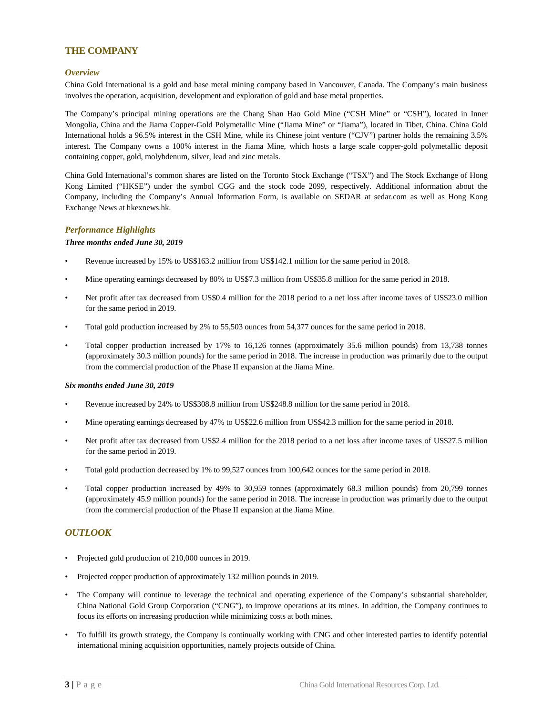### <span id="page-4-0"></span>**THE COMPANY**

#### <span id="page-4-1"></span>*Overview*

China Gold International is a gold and base metal mining company based in Vancouver, Canada. The Company's main business involves the operation, acquisition, development and exploration of gold and base metal properties.

The Company's principal mining operations are the Chang Shan Hao Gold Mine ("CSH Mine" or "CSH"), located in Inner Mongolia, China and the Jiama Copper-Gold Polymetallic Mine ("Jiama Mine" or "Jiama"), located in Tibet, China. China Gold International holds a 96.5% interest in the CSH Mine, while its Chinese joint venture ("CJV") partner holds the remaining 3.5% interest. The Company owns a 100% interest in the Jiama Mine, which hosts a large scale copper-gold polymetallic deposit containing copper, gold, molybdenum, silver, lead and zinc metals.

China Gold International's common shares are listed on the Toronto Stock Exchange ("TSX") and The Stock Exchange of Hong Kong Limited ("HKSE") under the symbol CGG and the stock code 2099, respectively. Additional information about the Company, including the Company's Annual Information Form, is available on SEDAR at sedar.com as well as Hong Kong Exchange News at hkexnews.hk.

#### <span id="page-4-2"></span>*Performance Highlights*

#### *Three months ended June 30, 2019*

- Revenue increased by 15% to US\$163.2 million from US\$142.1 million for the same period in 2018.
- Mine operating earnings decreased by 80% to US\$7.3 million from US\$35.8 million for the same period in 2018.
- Net profit after tax decreased from US\$0.4 million for the 2018 period to a net loss after income taxes of US\$23.0 million for the same period in 2019.
- Total gold production increased by 2% to 55,503 ounces from 54,377 ounces for the same period in 2018.
- Total copper production increased by 17% to 16,126 tonnes (approximately 35.6 million pounds) from 13,738 tonnes (approximately 30.3 million pounds) for the same period in 2018. The increase in production was primarily due to the output from the commercial production of the Phase II expansion at the Jiama Mine.

#### *Six months ended June 30, 2019*

- Revenue increased by 24% to US\$308.8 million from US\$248.8 million for the same period in 2018.
- Mine operating earnings decreased by 47% to US\$22.6 million from US\$42.3 million for the same period in 2018.
- Net profit after tax decreased from US\$2.4 million for the 2018 period to a net loss after income taxes of US\$27.5 million for the same period in 2019.
- Total gold production decreased by 1% to 99,527 ounces from 100,642 ounces for the same period in 2018.
- Total copper production increased by 49% to 30,959 tonnes (approximately 68.3 million pounds) from 20,799 tonnes (approximately 45.9 million pounds) for the same period in 2018. The increase in production was primarily due to the output from the commercial production of the Phase II expansion at the Jiama Mine.

#### <span id="page-4-3"></span>*OUTLOOK*

- Projected gold production of 210,000 ounces in 2019.
- Projected copper production of approximately 132 million pounds in 2019.
- The Company will continue to leverage the technical and operating experience of the Company's substantial shareholder, China National Gold Group Corporation ("CNG"), to improve operations at its mines. In addition, the Company continues to focus its efforts on increasing production while minimizing costs at both mines.
- To fulfill its growth strategy, the Company is continually working with CNG and other interested parties to identify potential international mining acquisition opportunities, namely projects outside of China.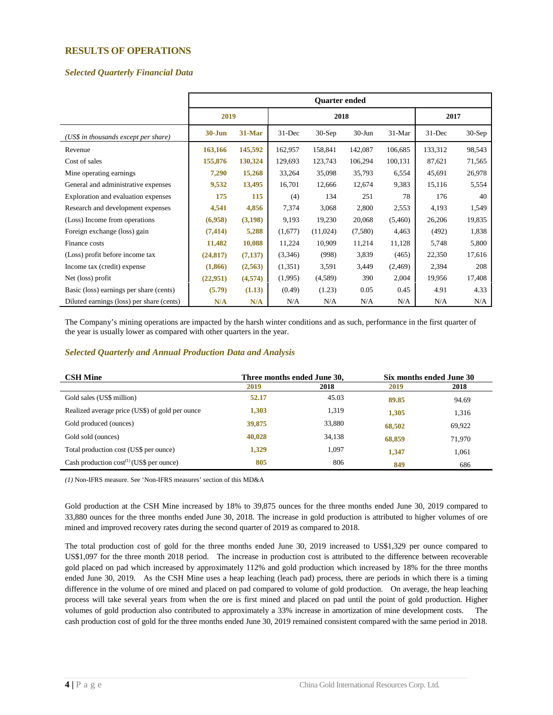#### <span id="page-5-0"></span>**RESULTS OF OPERATIONS**

#### <span id="page-5-1"></span>*Selected Quarterly Financial Data*

|                                           | <b>Ouarter ended</b> |          |            |          |            |          |            |          |
|-------------------------------------------|----------------------|----------|------------|----------|------------|----------|------------|----------|
|                                           | 2019                 |          | 2018       |          |            |          | 2017       |          |
| (US\$ in thousands except per share)      | $30 - Jun$           | 31-Mar   | $31 - Dec$ | $30-Sep$ | $30 - Jun$ | $31-Mar$ | $31 - Dec$ | $30-Sep$ |
| Revenue                                   | 163,166              | 145,592  | 162,957    | 158,841  | 142,087    | 106,685  | 133,312    | 98,543   |
| Cost of sales                             | 155,876              | 130,324  | 129,693    | 123,743  | 106,294    | 100,131  | 87,621     | 71,565   |
| Mine operating earnings                   | 7,290                | 15,268   | 33,264     | 35,098   | 35,793     | 6,554    | 45,691     | 26,978   |
| General and administrative expenses       | 9,532                | 13,495   | 16,701     | 12,666   | 12,674     | 9,383    | 15,116     | 5,554    |
| Exploration and evaluation expenses       | 175                  | 115      | (4)        | 134      | 251        | 78       | 176        | 40       |
| Research and development expenses         | 4,541                | 4,856    | 7,374      | 3,068    | 2,800      | 2,553    | 4,193      | 1,549    |
| (Loss) Income from operations             | (6,958)              | (3,198)  | 9,193      | 19,230   | 20,068     | (5,460)  | 26,206     | 19,835   |
| Foreign exchange (loss) gain              | (7, 414)             | 5,288    | (1,677)    | (11,024) | (7,580)    | 4,463    | (492)      | 1,838    |
| Finance costs                             | 11,482               | 10,088   | 11,224     | 10,909   | 11,214     | 11,128   | 5,748      | 5,800    |
| (Loss) profit before income tax           | (24, 817)            | (7, 137) | (3,346)    | (998)    | 3,839      | (465)    | 22,350     | 17,616   |
| Income tax (credit) expense               | (1,866)              | (2,563)  | (1,351)    | 3,591    | 3,449      | (2,469)  | 2,394      | 208      |
| Net (loss) profit                         | (22,951)             | (4,574)  | (1,995)    | (4,589)  | 390        | 2,004    | 19,956     | 17,408   |
| Basic (loss) earnings per share (cents)   | (5.79)               | (1.13)   | (0.49)     | (1.23)   | 0.05       | 0.45     | 4.91       | 4.33     |
| Diluted earnings (loss) per share (cents) | N/A                  | N/A      | N/A        | N/A      | N/A        | N/A      | N/A        | N/A      |

The Company's mining operations are impacted by the harsh winter conditions and as such, performance in the first quarter of the year is usually lower as compared with other quarters in the year.

#### <span id="page-5-2"></span>*Selected Quarterly and Annual Production Data and Analysis*

| <b>CSH Mine</b>                                 |        | Three months ended June 30, | Six months ended June 30 |        |
|-------------------------------------------------|--------|-----------------------------|--------------------------|--------|
|                                                 | 2019   | 2018                        | 2019                     | 2018   |
| Gold sales (US\$ million)                       | 52.17  | 45.03                       | 89.85                    | 94.69  |
| Realized average price (US\$) of gold per ounce | 1,303  | 1,319                       | 1.305                    | 1,316  |
| Gold produced (ounces)                          | 39,875 | 33,880                      | 68,502                   | 69,922 |
| Gold sold (ounces)                              | 40,028 | 34,138                      | 68,859                   | 71,970 |
| Total production cost (US\$ per ounce)          | 1,329  | 1,097                       | 1,347                    | 1,061  |
| Cash production $cost^{(1)}$ (US\$ per ounce)   | 805    | 806                         | 849                      | 686    |

*(1)* Non-IFRS measure. See 'Non-IFRS measures' section of this MD&A

Gold production at the CSH Mine increased by 18% to 39,875 ounces for the three months ended June 30, 2019 compared to 33,880 ounces for the three months ended June 30, 2018. The increase in gold production is attributed to higher volumes of ore mined and improved recovery rates during the second quarter of 2019 as compared to 2018.

The total production cost of gold for the three months ended June 30, 2019 increased to US\$1,329 per ounce compared to US\$1,097 for the three month 2018 period. The increase in production cost is attributed to the difference between recoverable gold placed on pad which increased by approximately 112% and gold production which increased by 18% for the three months ended June 30, 2019. As the CSH Mine uses a heap leaching (leach pad) process, there are periods in which there is a timing difference in the volume of ore mined and placed on pad compared to volume of gold production. On average, the heap leaching process will take several years from when the ore is first mined and placed on pad until the point of gold production. Higher volumes of gold production also contributed to approximately a 33% increase in amortization of mine development costs. The cash production cost of gold for the three months ended June 30, 2019 remained consistent compared with the same period in 2018.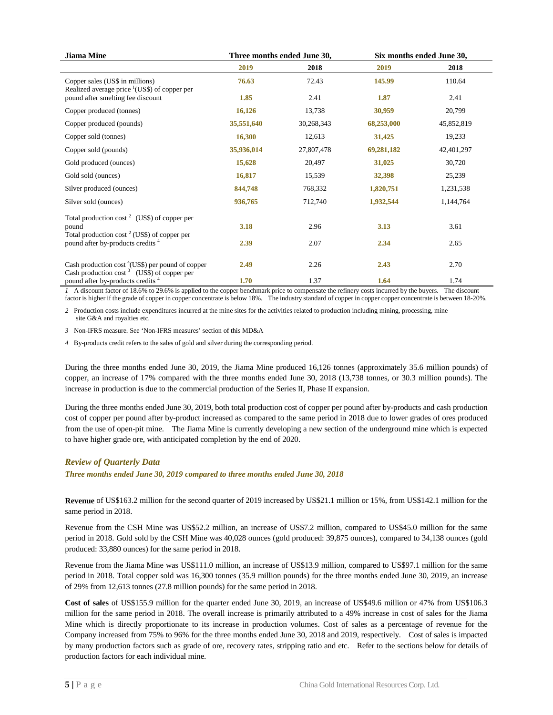| <b>Jiama Mine</b>                                                                                       |            | Three months ended June 30, | Six months ended June 30, |            |  |
|---------------------------------------------------------------------------------------------------------|------------|-----------------------------|---------------------------|------------|--|
|                                                                                                         | 2019       | 2018                        | 2019                      | 2018       |  |
| Copper sales (US\$ in millions)<br>Realized average price <sup>1</sup> (US\$) of copper per             | 76.63      | 72.43                       | 145.99                    | 110.64     |  |
| pound after smelting fee discount                                                                       | 1.85       | 2.41                        | 1.87                      | 2.41       |  |
| Copper produced (tonnes)                                                                                | 16,126     | 13,738                      | 30,959                    | 20,799     |  |
| Copper produced (pounds)                                                                                | 35,551,640 | 30,268,343                  | 68,253,000                | 45,852,819 |  |
| Copper sold (tonnes)                                                                                    | 16,300     | 12,613                      | 31,425                    | 19,233     |  |
| Copper sold (pounds)                                                                                    | 35,936,014 | 27,807,478                  | 69,281,182                | 42,401,297 |  |
| Gold produced (ounces)                                                                                  | 15,628     | 20,497                      | 31,025                    | 30,720     |  |
| Gold sold (ounces)                                                                                      | 16,817     | 15,539                      | 32,398                    | 25,239     |  |
| Silver produced (ounces)                                                                                | 844,748    | 768,332                     | 1,820,751                 | 1,231,538  |  |
| Silver sold (ounces)                                                                                    | 936,765    | 712,740                     | 1,932,544                 | 1,144,764  |  |
| Total production $\cos^2$ (US\$) of copper per<br>pound                                                 | 3.18       | 2.96                        | 3.13                      | 3.61       |  |
| Total production cost <sup>2</sup> (US\$) of copper per<br>pound after by-products credits <sup>4</sup> | 2.39       | 2.07                        | 2.34                      | 2.65       |  |
| Cash production $cost^4(USS)$ per pound of copper<br>Cash production $\cos^3$ (US\$) of copper per      | 2.49       | 2.26                        | 2.43                      | 2.70       |  |
| pound after by-products credits <sup>4</sup>                                                            | 1.70       | 1.37                        | 1.64                      | 1.74       |  |

*1* A discount factor of 18.6% to 29.6% is applied to the copper benchmark price to compensate the refinery costs incurred by the buyers. The discount factor is higher if the grade of copper in copper concentrate is below 18%. The industry standard of copper in copper copper concentrate is between 18-20%.

*2* Production costs include expenditures incurred at the mine sites for the activities related to production including mining, processing, mine site G&A and royalties etc.

*3* Non-IFRS measure. See 'Non-IFRS measures' section of this MD&A

*4* By-products credit refers to the sales of gold and silver during the corresponding period.

During the three months ended June 30, 2019, the Jiama Mine produced 16,126 tonnes (approximately 35.6 million pounds) of copper, an increase of 17% compared with the three months ended June 30, 2018 (13,738 tonnes, or 30.3 million pounds). The increase in production is due to the commercial production of the Series II, Phase II expansion.

During the three months ended June 30, 2019, both total production cost of copper per pound after by-products and cash production cost of copper per pound after by-product increased as compared to the same period in 2018 due to lower grades of ores produced from the use of open-pit mine. The Jiama Mine is currently developing a new section of the underground mine which is expected to have higher grade ore, with anticipated completion by the end of 2020.

#### <span id="page-6-0"></span>*Review of Quarterly Data*

*Three months ended June 30, 2019 compared to three months ended June 30, 2018*

**Revenue** of US\$163.2 million for the second quarter of 2019 increased by US\$21.1 million or 15%, from US\$142.1 million for the same period in 2018.

Revenue from the CSH Mine was US\$52.2 million, an increase of US\$7.2 million, compared to US\$45.0 million for the same period in 2018. Gold sold by the CSH Mine was 40,028 ounces (gold produced: 39,875 ounces), compared to 34,138 ounces (gold produced: 33,880 ounces) for the same period in 2018.

Revenue from the Jiama Mine was US\$111.0 million, an increase of US\$13.9 million, compared to US\$97.1 million for the same period in 2018. Total copper sold was 16,300 tonnes (35.9 million pounds) for the three months ended June 30, 2019, an increase of 29% from 12,613 tonnes (27.8 million pounds) for the same period in 2018.

**Cost of sales** of US\$155.9 million for the quarter ended June 30, 2019, an increase of US\$49.6 million or 47% from US\$106.3 million for the same period in 2018. The overall increase is primarily attributed to a 49% increase in cost of sales for the Jiama Mine which is directly proportionate to its increase in production volumes. Cost of sales as a percentage of revenue for the Company increased from 75% to 96% for the three months ended June 30, 2018 and 2019, respectively. Cost of sales is impacted by many production factors such as grade of ore, recovery rates, stripping ratio and etc. Refer to the sections below for details of production factors for each individual mine.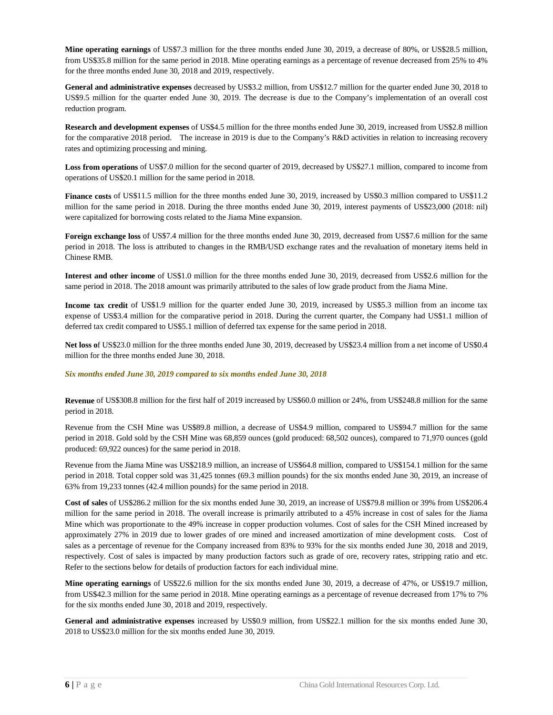**Mine operating earnings** of US\$7.3 million for the three months ended June 30, 2019, a decrease of 80%, or US\$28.5 million, from US\$35.8 million for the same period in 2018. Mine operating earnings as a percentage of revenue decreased from 25% to 4% for the three months ended June 30, 2018 and 2019, respectively.

**General and administrative expenses** decreased by US\$3.2 million, from US\$12.7 million for the quarter ended June 30, 2018 to US\$9.5 million for the quarter ended June 30, 2019. The decrease is due to the Company's implementation of an overall cost reduction program.

**Research and development expenses** of US\$4.5 million for the three months ended June 30, 2019, increased from US\$2.8 million for the comparative 2018 period. The increase in 2019 is due to the Company's R&D activities in relation to increasing recovery rates and optimizing processing and mining.

**Loss from operations** of US\$7.0 million for the second quarter of 2019, decreased by US\$27.1 million, compared to income from operations of US\$20.1 million for the same period in 2018.

**Finance costs** of US\$11.5 million for the three months ended June 30, 2019, increased by US\$0.3 million compared to US\$11.2 million for the same period in 2018. During the three months ended June 30, 2019, interest payments of US\$23,000 (2018: nil) were capitalized for borrowing costs related to the Jiama Mine expansion.

**Foreign exchange loss** of US\$7.4 million for the three months ended June 30, 2019, decreased from US\$7.6 million for the same period in 2018. The loss is attributed to changes in the RMB/USD exchange rates and the revaluation of monetary items held in Chinese RMB.

**Interest and other income** of US\$1.0 million for the three months ended June 30, 2019, decreased from US\$2.6 million for the same period in 2018. The 2018 amount was primarily attributed to the sales of low grade product from the Jiama Mine.

**Income tax credit** of US\$1.9 million for the quarter ended June 30, 2019, increased by US\$5.3 million from an income tax expense of US\$3.4 million for the comparative period in 2018. During the current quarter, the Company had US\$1.1 million of deferred tax credit compared to US\$5.1 million of deferred tax expense for the same period in 2018.

**Net loss o**f US\$23.0 million for the three months ended June 30, 2019, decreased by US\$23.4 million from a net income of US\$0.4 million for the three months ended June 30, 2018.

#### *Six months ended June 30, 2019 compared to six months ended June 30, 2018*

**Revenue** of US\$308.8 million for the first half of 2019 increased by US\$60.0 million or 24%, from US\$248.8 million for the same period in 2018.

Revenue from the CSH Mine was US\$89.8 million, a decrease of US\$4.9 million, compared to US\$94.7 million for the same period in 2018. Gold sold by the CSH Mine was 68,859 ounces (gold produced: 68,502 ounces), compared to 71,970 ounces (gold produced: 69,922 ounces) for the same period in 2018.

Revenue from the Jiama Mine was US\$218.9 million, an increase of US\$64.8 million, compared to US\$154.1 million for the same period in 2018. Total copper sold was 31,425 tonnes (69.3 million pounds) for the six months ended June 30, 2019, an increase of 63% from 19,233 tonnes (42.4 million pounds) for the same period in 2018.

**Cost of sales** of US\$286.2 million for the six months ended June 30, 2019, an increase of US\$79.8 million or 39% from US\$206.4 million for the same period in 2018. The overall increase is primarily attributed to a 45% increase in cost of sales for the Jiama Mine which was proportionate to the 49% increase in copper production volumes. Cost of sales for the CSH Mined increased by approximately 27% in 2019 due to lower grades of ore mined and increased amortization of mine development costs. Cost of sales as a percentage of revenue for the Company increased from 83% to 93% for the six months ended June 30, 2018 and 2019, respectively. Cost of sales is impacted by many production factors such as grade of ore, recovery rates, stripping ratio and etc. Refer to the sections below for details of production factors for each individual mine.

**Mine operating earnings** of US\$22.6 million for the six months ended June 30, 2019, a decrease of 47%, or US\$19.7 million, from US\$42.3 million for the same period in 2018. Mine operating earnings as a percentage of revenue decreased from 17% to 7% for the six months ended June 30, 2018 and 2019, respectively.

**General and administrative expenses** increased by US\$0.9 million, from US\$22.1 million for the six months ended June 30, 2018 to US\$23.0 million for the six months ended June 30, 2019.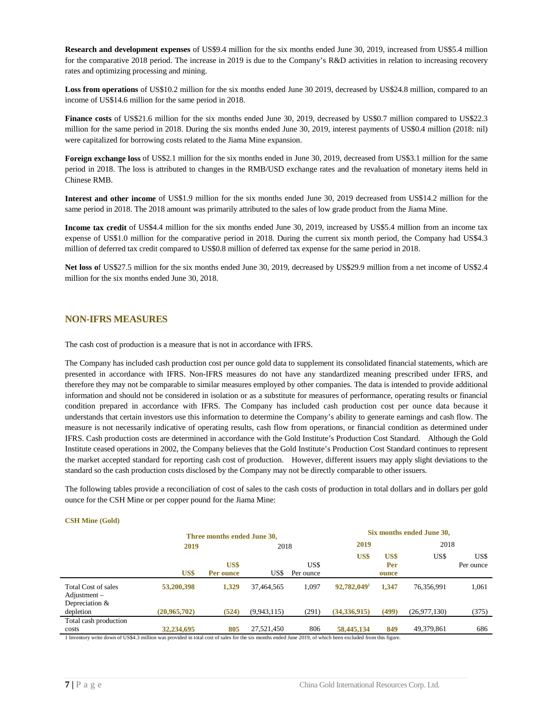**Research and development expenses** of US\$9.4 million for the six months ended June 30, 2019, increased from US\$5.4 million for the comparative 2018 period. The increase in 2019 is due to the Company's R&D activities in relation to increasing recovery rates and optimizing processing and mining.

Loss from operations of US\$10.2 million for the six months ended June 30 2019, decreased by US\$24.8 million, compared to an income of US\$14.6 million for the same period in 2018.

**Finance costs** of US\$21.6 million for the six months ended June 30, 2019, decreased by US\$0.7 million compared to US\$22.3 million for the same period in 2018. During the six months ended June 30, 2019, interest payments of US\$0.4 million (2018: nil) were capitalized for borrowing costs related to the Jiama Mine expansion.

**Foreign exchange loss** of US\$2.1 million for the six months ended in June 30, 2019, decreased from US\$3.1 million for the same period in 2018. The loss is attributed to changes in the RMB/USD exchange rates and the revaluation of monetary items held in Chinese RMB.

**Interest and other income** of US\$1.9 million for the six months ended June 30, 2019 decreased from US\$14.2 million for the same period in 2018. The 2018 amount was primarily attributed to the sales of low grade product from the Jiama Mine.

**Income tax credit** of US\$4.4 million for the six months ended June 30, 2019, increased by US\$5.4 million from an income tax expense of US\$1.0 million for the comparative period in 2018. During the current six month period, the Company had US\$4.3 million of deferred tax credit compared to US\$0.8 million of deferred tax expense for the same period in 2018.

**Net loss o**f US\$27.5 million for the six months ended June 30, 2019, decreased by US\$29.9 million from a net income of US\$2.4 million for the six months ended June 30, 2018.

#### <span id="page-8-0"></span>**NON-IFRS MEASURES**

The cash cost of production is a measure that is not in accordance with IFRS.

The Company has included cash production cost per ounce gold data to supplement its consolidated financial statements, which are presented in accordance with IFRS. Non-IFRS measures do not have any standardized meaning prescribed under IFRS, and therefore they may not be comparable to similar measures employed by other companies. The data is intended to provide additional information and should not be considered in isolation or as a substitute for measures of performance, operating results or financial condition prepared in accordance with IFRS. The Company has included cash production cost per ounce data because it understands that certain investors use this information to determine the Company's ability to generate earnings and cash flow. The measure is not necessarily indicative of operating results, cash flow from operations, or financial condition as determined under IFRS. Cash production costs are determined in accordance with the Gold Institute's Production Cost Standard. Although the Gold Institute ceased operations in 2002, the Company believes that the Gold Institute's Production Cost Standard continues to represent the market accepted standard for reporting cash cost of production. However, different issuers may apply slight deviations to the standard so the cash production costs disclosed by the Company may not be directly comparable to other issuers.

The following tables provide a reconciliation of cost of sales to the cash costs of production in total dollars and in dollars per gold ounce for the CSH Mine or per copper pound for the Jiama Mine:

#### **CSH Mine (Gold)**

|                                                                                                                                                                                                                                                                     | Three months ended June 30, |                   |             |                   |              |                      | Six months ended June 30, |                   |  |
|---------------------------------------------------------------------------------------------------------------------------------------------------------------------------------------------------------------------------------------------------------------------|-----------------------------|-------------------|-------------|-------------------|--------------|----------------------|---------------------------|-------------------|--|
|                                                                                                                                                                                                                                                                     | 2019                        |                   | 2018        |                   | 2019         |                      |                           | 2018              |  |
|                                                                                                                                                                                                                                                                     | US\$                        | US\$<br>Per ounce | US\$        | US\$<br>Per ounce | US\$         | US\$<br>Per<br>ounce | US\$                      | US\$<br>Per ounce |  |
| Total Cost of sales<br>$\text{Adjustment}$ –<br>Depreciation $&$                                                                                                                                                                                                    | 53,200,398                  | 1.329             | 37,464,565  | 1.097             | 92,782,049   | 1,347                | 76,356,991                | 1,061             |  |
| depletion                                                                                                                                                                                                                                                           | (20,965,702)                | (524)             | (9,943,115) | (291)             | (34,336,915) | (499)                | (26, 977, 130)            | (375)             |  |
| Total cash production<br>costs<br>$+$ 1. The second state $\sim$ 2.110.04.0 and the second state of the state of state of state of the state of $\sim$ 0.10. The state of the state of the state of the state of the state of the state of the state of the state o | 32,234,695                  | 805               | 27.521.450  | 806               | 58,445,134   | 849                  | 49,379,861                | 686               |  |

1 Inventory write down of US\$4.3 million was provided in total cost of sales for the six months ended June 2019, of which been excluded from this figure.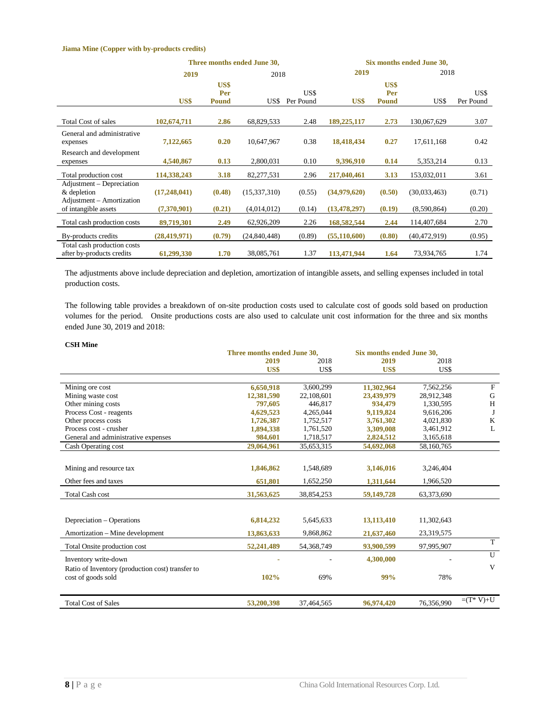#### **Jiama Mine (Copper with by-products credits)**

|                                                                       | Three months ended June 30, |                             |              | Six months ended June 30, |                |                             |                |                   |
|-----------------------------------------------------------------------|-----------------------------|-----------------------------|--------------|---------------------------|----------------|-----------------------------|----------------|-------------------|
|                                                                       | 2019                        |                             | 2018         |                           | 2019           |                             |                | 2018              |
|                                                                       | US\$                        | US\$<br>Per<br><b>Pound</b> | US\$         | US\$<br>Per Pound         | US\$           | US\$<br>Per<br><b>Pound</b> | US\$           | US\$<br>Per Pound |
| <b>Total Cost of sales</b>                                            | 102,674,711                 | 2.86                        | 68,829,533   | 2.48                      | 189,225,117    | 2.73                        | 130,067,629    | 3.07              |
| General and administrative<br>expenses                                | 7,122,665                   | 0.20                        | 10,647,967   | 0.38                      | 18,418,434     | 0.27                        | 17,611,168     | 0.42              |
| Research and development<br>expenses                                  | 4,540,867                   | 0.13                        | 2,800,031    | 0.10                      | 9,396,910      | 0.14                        | 5,353,214      | 0.13              |
| Total production cost                                                 | 114,338,243                 | 3.18                        | 82,277,531   | 2.96                      | 217,040,461    | 3.13                        | 153,032,011    | 3.61              |
| Adjustment – Depreciation<br>& depletion<br>Adjustment – Amortization | (17,248,041)                | (0.48)                      | (15,337,310) | (0.55)                    | (34,979,620)   | (0.50)                      | (30,033,463)   | (0.71)            |
| of intangible assets                                                  | (7,370,901)                 | (0.21)                      | (4,014,012)  | (0.14)                    | (13, 478, 297) | (0.19)                      | (8,590,864)    | (0.20)            |
| Total cash production costs                                           | 89,719,301                  | 2.49                        | 62,926,209   | 2.26                      | 168,582,544    | 2.44                        | 114,407,684    | 2.70              |
| By-products credits                                                   | (28, 419, 971)              | (0.79)                      | (24,840,448) | (0.89)                    | (55, 110, 600) | (0.80)                      | (40, 472, 919) | (0.95)            |
| Total cash production costs<br>after by-products credits              | 61,299,330                  | 1.70                        | 38,085,761   | 1.37                      | 113,471,944    | 1.64                        | 73,934,765     | 1.74              |

The adjustments above include depreciation and depletion, amortization of intangible assets, and selling expenses included in total production costs.

The following table provides a breakdown of on-site production costs used to calculate cost of goods sold based on production volumes for the period. Onsite productions costs are also used to calculate unit cost information for the three and six months ended June 30, 2019 and 2018:

#### **CSH Mine**

|                                                  | Three months ended June 30, |            |            | Six months ended June 30. |              |
|--------------------------------------------------|-----------------------------|------------|------------|---------------------------|--------------|
|                                                  | 2019                        | 2018       | 2019       | 2018                      |              |
|                                                  | US\$                        | US\$       | US\$       | US\$                      |              |
|                                                  |                             |            |            |                           |              |
| Mining ore cost                                  | 6,650,918                   | 3,600,299  | 11,302,964 | 7,562,256                 | F            |
| Mining waste cost                                | 12,381,590                  | 22,108,601 | 23,439,979 | 28,912,348                | G            |
| Other mining costs                               | 797,605                     | 446,817    | 934,479    | 1,330,595                 | H            |
| Process Cost - reagents                          | 4,629,523                   | 4,265,044  | 9,119,824  | 9,616,206                 | J            |
| Other process costs                              | 1,726,387                   | 1,752,517  | 3,761,302  | 4,021,830                 | K            |
| Process cost - crusher                           | 1,894,338                   | 1,761,520  | 3.309,008  | 3,461,912                 | $\mathbf{L}$ |
| General and administrative expenses              | 984,601                     | 1,718,517  | 2,824,512  | 3,165,618                 |              |
| Cash Operating cost                              | 29,064,961                  | 35,653,315 | 54,692,068 | 58,160,765                |              |
|                                                  |                             |            |            |                           |              |
| Mining and resource tax                          | 1,846,862                   | 1,548,689  | 3,146,016  | 3,246,404                 |              |
| Other fees and taxes                             | 651,801                     | 1,652,250  | 1,311,644  | 1,966,520                 |              |
| <b>Total Cash cost</b>                           | 31,563,625                  | 38,854,253 | 59,149,728 | 63,373,690                |              |
|                                                  |                             |            |            |                           |              |
| Depreciation – Operations                        | 6,814,232                   | 5,645,633  | 13,113,410 | 11,302,643                |              |
| Amortization – Mine development                  | 13,863,633                  | 9,868,862  | 21,637,460 | 23,319,575                |              |
| Total Onsite production cost                     | 52,241,489                  | 54,368,749 | 93,900,599 | 97,995,907                | T            |
| Inventory write-down                             |                             |            | 4,300,000  |                           | U            |
| Ratio of Inventory (production cost) transfer to |                             |            |            |                           | V            |
| cost of goods sold                               | 102%                        | 69%        | 99%        | 78%                       |              |
|                                                  |                             |            |            |                           |              |
| <b>Total Cost of Sales</b>                       | 53,200,398                  | 37,464,565 | 96,974,420 | 76,356,990                | $=(T^* V)+U$ |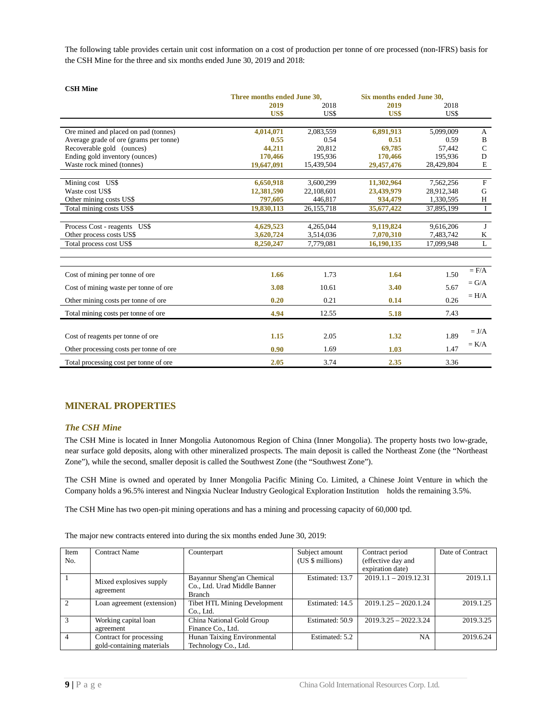The following table provides certain unit cost information on a cost of production per tonne of ore processed (non-IFRS) basis for the CSH Mine for the three and six months ended June 30, 2019 and 2018:

| Сэн минс                                | Three months ended June 30. |            | Six months ended June 30. |            |             |
|-----------------------------------------|-----------------------------|------------|---------------------------|------------|-------------|
|                                         | 2019                        | 2018       | 2019                      | 2018       |             |
|                                         | US\$                        | US\$       | US\$                      | US\$       |             |
| Ore mined and placed on pad (tonnes)    | 4,014,071                   | 2,083,559  | 6,891,913                 | 5,099,009  | A           |
| Average grade of ore (grams per tonne)  | 0.55                        | 0.54       | 0.51                      | 0.59       | B           |
| Recoverable gold (ounces)               | 44,211                      | 20,812     | 69,785                    | 57,442     | $\mathbf C$ |
| Ending gold inventory (ounces)          | 170,466                     | 195,936    | 170,466                   | 195,936    | D           |
| Waste rock mined (tonnes)               | 19,647,091                  | 15,439,504 | 29,457,476                | 28,429,804 | $\mathbf E$ |
| Mining cost US\$                        | 6,650,918                   | 3,600,299  | 11,302,964                | 7,562,256  | $\mathbf F$ |
| Waste cost US\$                         | 12,381,590                  | 22,108,601 | 23,439,979                | 28,912,348 | G           |
| Other mining costs US\$                 | 797,605                     | 446,817    | 934,479                   | 1,330,595  | H           |
| Total mining costs US\$                 | 19,830,113                  | 26,155,718 | 35,677,422                | 37,895,199 | $\bf I$     |
| Process Cost - reagents US\$            | 4,629,523                   | 4,265,044  | 9,119,824                 | 9,616,206  | J           |
| Other process costs US\$                | 3,620,724                   | 3,514,036  | 7,070,310                 | 7,483,742  | K           |
| Total process cost US\$                 | 8,250,247                   | 7,779,081  | 16,190,135                | 17,099,948 | L           |
|                                         |                             |            |                           |            |             |
| Cost of mining per tonne of ore         | 1.66                        | 1.73       | 1.64                      | 1.50       | $=$ $F/A$   |
| Cost of mining waste per tonne of ore   | 3.08                        | 10.61      | 3.40                      | 5.67       | $= G/A$     |
| Other mining costs per tonne of ore     | 0.20                        | 0.21       | 0.14                      | 0.26       | $= H/A$     |
| Total mining costs per tonne of ore     | 4.94                        | 12.55      | 5.18                      | 7.43       |             |
|                                         |                             |            |                           |            | $= J/A$     |
| Cost of reagents per tonne of ore       | 1.15                        | 2.05       | 1.32                      | 1.89       |             |
| Other processing costs per tonne of ore | 0.90                        | 1.69       | 1.03                      | 1.47       | $= K/A$     |
| Total processing cost per tonne of ore  | 2.05                        | 3.74       | 2.35                      | 3.36       |             |

### <span id="page-10-0"></span>**MINERAL PROPERTIES**

### <span id="page-10-1"></span>*The CSH Mine*

**CSH Mine**

The CSH Mine is located in Inner Mongolia Autonomous Region of China (Inner Mongolia). The property hosts two low-grade, near surface gold deposits, along with other mineralized prospects. The main deposit is called the Northeast Zone (the "Northeast Zone"), while the second, smaller deposit is called the Southwest Zone (the "Southwest Zone").

The CSH Mine is owned and operated by Inner Mongolia Pacific Mining Co. Limited, a Chinese Joint Venture in which the Company holds a 96.5% interest and Ningxia Nuclear Industry Geological Exploration Institution holds the remaining 3.5%.

The CSH Mine has two open-pit mining operations and has a mining and processing capacity of 60,000 tpd.

The major new contracts entered into during the six months ended June 30, 2019:

| Item<br>No.              | <b>Contract Name</b>                                 | Counterpart                                                                 | Subject amount<br>(US \$ millions) | Contract period<br>(effective day and<br>expiration date) | Date of Contract |
|--------------------------|------------------------------------------------------|-----------------------------------------------------------------------------|------------------------------------|-----------------------------------------------------------|------------------|
|                          | Mixed explosives supply<br>agreement                 | Bayannur Sheng'an Chemical<br>Co., Ltd. Urad Middle Banner<br><b>Branch</b> | Estimated: 13.7                    | $2019.1.1 - 2019.12.31$                                   | 2019.1.1         |
| $\mathcal{D}$            | Loan agreement (extension)                           | <b>Tibet HTL Mining Development</b><br>Co., Ltd.                            | Estimated: 14.5                    | $2019.1.25 - 2020.1.24$                                   | 2019.1.25        |
| $\mathcal{R}$            | Working capital loan<br>agreement                    | China National Gold Group<br>Finance Co., Ltd.                              | Estimated: 50.9                    | $2019.3.25 - 2022.3.24$                                   | 2019.3.25        |
| $\boldsymbol{\varDelta}$ | Contract for processing<br>gold-containing materials | Hunan Taixing Environmental<br>Technology Co., Ltd.                         | Estimated: 5.2                     | NA                                                        | 2019.6.24        |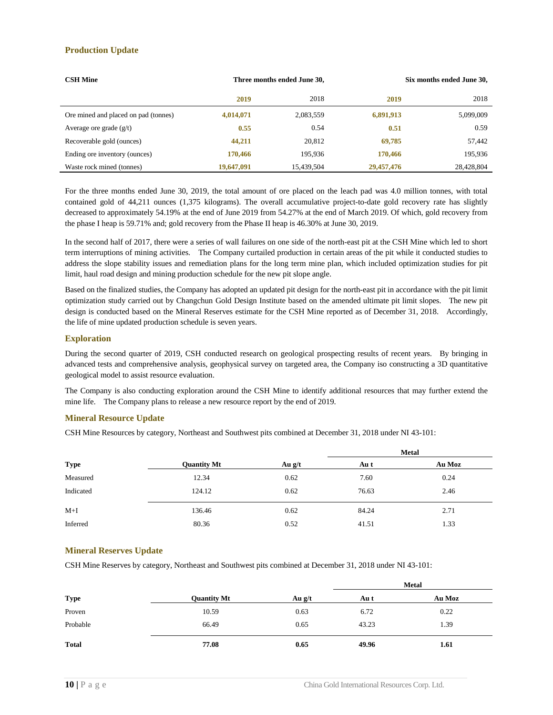#### **Production Update**

| <b>CSH Mine</b>                      |            | Three months ended June 30, |            | Six months ended June 30, |
|--------------------------------------|------------|-----------------------------|------------|---------------------------|
|                                      | 2019       | 2018                        | 2019       | 2018                      |
| Ore mined and placed on pad (tonnes) | 4,014,071  | 2,083,559                   | 6,891,913  | 5,099,009                 |
| Average ore grade $(g/t)$            | 0.55       | 0.54                        | 0.51       | 0.59                      |
| Recoverable gold (ounces)            | 44,211     | 20,812                      | 69,785     | 57,442                    |
| Ending ore inventory (ounces)        | 170,466    | 195.936                     | 170,466    | 195,936                   |
| Waste rock mined (tonnes)            | 19,647,091 | 15,439,504                  | 29,457,476 | 28,428,804                |

For the three months ended June 30, 2019, the total amount of ore placed on the leach pad was 4.0 million tonnes, with total contained gold of 44,211 ounces (1,375 kilograms). The overall accumulative project-to-date gold recovery rate has slightly decreased to approximately 54.19% at the end of June 2019 from 54.27% at the end of March 2019. Of which, gold recovery from the phase I heap is 59.71% and; gold recovery from the Phase II heap is 46.30% at June 30, 2019.

In the second half of 2017, there were a series of wall failures on one side of the north-east pit at the CSH Mine which led to short term interruptions of mining activities. The Company curtailed production in certain areas of the pit while it conducted studies to address the slope stability issues and remediation plans for the long term mine plan, which included optimization studies for pit limit, haul road design and mining production schedule for the new pit slope angle.

Based on the finalized studies, the Company has adopted an updated pit design for the north-east pit in accordance with the pit limit optimization study carried out by Changchun Gold Design Institute based on the amended ultimate pit limit slopes. The new pit design is conducted based on the Mineral Reserves estimate for the CSH Mine reported as of December 31, 2018. Accordingly, the life of mine updated production schedule is seven years.

#### **Exploration**

During the second quarter of 2019, CSH conducted research on geological prospecting results of recent years. By bringing in advanced tests and comprehensive analysis, geophysical survey on targeted area, the Company iso constructing a 3D quantitative geological model to assist resource evaluation.

The Company is also conducting exploration around the CSH Mine to identify additional resources that may further extend the mine life. The Company plans to release a new resource report by the end of 2019.

#### **Mineral Resource Update**

CSH Mine Resources by category, Northeast and Southwest pits combined at December 31, 2018 under NI 43-101:

|             |                    |          | <b>Metal</b> |        |
|-------------|--------------------|----------|--------------|--------|
| <b>Type</b> | <b>Quantity Mt</b> | Au $g/t$ | Au t         | Au Moz |
| Measured    | 12.34              | 0.62     | 7.60         | 0.24   |
| Indicated   | 124.12             | 0.62     | 76.63        | 2.46   |
| $M+I$       | 136.46             | 0.62     | 84.24        | 2.71   |
| Inferred    | 80.36              | 0.52     | 41.51        | 1.33   |

#### **Mineral Reserves Update**

CSH Mine Reserves by category, Northeast and Southwest pits combined at December 31, 2018 under NI 43-101:

|              |                    | <b>Metal</b> |       |        |  |
|--------------|--------------------|--------------|-------|--------|--|
| <b>Type</b>  | <b>Quantity Mt</b> | Au $g/t$     | Au t  | Au Moz |  |
| Proven       | 10.59              | 0.63         | 6.72  | 0.22   |  |
| Probable     | 66.49              | 0.65         | 43.23 | 1.39   |  |
| <b>Total</b> | 77.08              | 0.65         | 49.96 | 1.61   |  |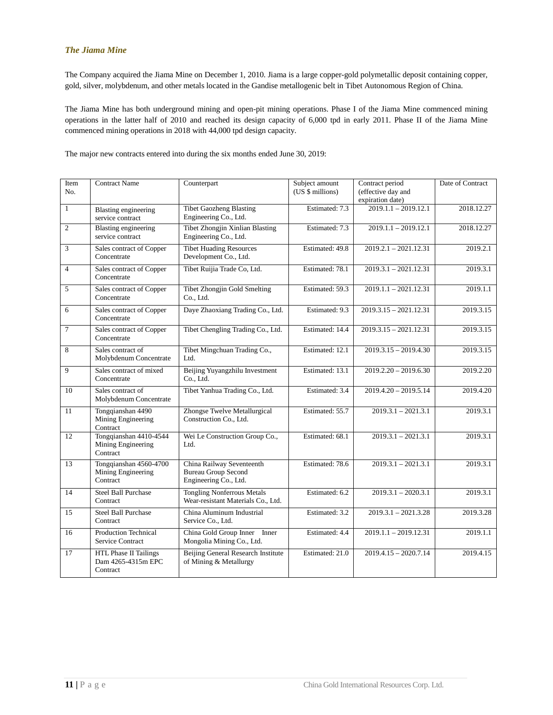#### <span id="page-12-0"></span>*The Jiama Mine*

The Company acquired the Jiama Mine on December 1, 2010. Jiama is a large copper-gold polymetallic deposit containing copper, gold, silver, molybdenum, and other metals located in the Gandise metallogenic belt in Tibet Autonomous Region of China.

The Jiama Mine has both underground mining and open-pit mining operations. Phase I of the Jiama Mine commenced mining operations in the latter half of 2010 and reached its design capacity of 6,000 tpd in early 2011. Phase II of the Jiama Mine commenced mining operations in 2018 with 44,000 tpd design capacity.

The major new contracts entered into during the six months ended June 30, 2019:

| Item<br>No.     | <b>Contract Name</b>                                           | Counterpart                                                                      | Subject amount<br>(US \$ millions) | Contract period<br>(effective day and<br>expiration date) | Date of Contract |
|-----------------|----------------------------------------------------------------|----------------------------------------------------------------------------------|------------------------------------|-----------------------------------------------------------|------------------|
| $\mathbf{1}$    | <b>Blasting engineering</b><br>service contract                | <b>Tibet Gaozheng Blasting</b><br>Engineering Co., Ltd.                          | Estimated: 7.3                     | $2019.1.1 - 2019.12.1$                                    | 2018.12.27       |
| $\overline{2}$  | Blasting engineering<br>service contract                       | <b>Tibet Zhongjin Xinlian Blasting</b><br>Engineering Co., Ltd.                  | Estimated: 7.3                     | $2019.1.1 - 2019.12.1$                                    | 2018.12.27       |
| 3               | Sales contract of Copper<br>Concentrate                        | <b>Tibet Huading Resources</b><br>Development Co., Ltd.                          | Estimated: 49.8                    | $2019.2.1 - 2021.12.31$                                   | 2019.2.1         |
| $\overline{4}$  | Sales contract of Copper<br>Concentrate                        | Tibet Ruijia Trade Co, Ltd.                                                      | Estimated: 78.1                    | $2019.3.1 - 2021.12.31$                                   | 2019.3.1         |
| 5               | Sales contract of Copper<br>Concentrate                        | <b>Tibet Zhongjin Gold Smelting</b><br>Co., Ltd.                                 | Estimated: 59.3                    | $2019.1.1 - 2021.12.31$                                   | 2019.1.1         |
| 6               | Sales contract of Copper<br>Concentrate                        | Daye Zhaoxiang Trading Co., Ltd.                                                 | Estimated: 9.3                     | $2019.3.15 - 2021.12.31$                                  | 2019.3.15        |
| $\overline{7}$  | Sales contract of Copper<br>Concentrate                        | Tibet Chengling Trading Co., Ltd.                                                | Estimated: 14.4                    | $2019.3.15 - 2021.12.31$                                  | 2019.3.15        |
| 8               | Sales contract of<br>Molybdenum Concentrate                    | Tibet Mingchuan Trading Co.,<br>Ltd.                                             | Estimated: 12.1                    | $2019.3.15 - 2019.4.30$                                   | 2019.3.15        |
| 9               | Sales contract of mixed<br>Concentrate                         | Beijing Yuyangzhilu Investment<br>Co., Ltd.                                      | Estimated: 13.1                    | $2019.2.20 - 2019.6.30$                                   | 2019.2.20        |
| 10              | Sales contract of<br>Molybdenum Concentrate                    | Tibet Yanhua Trading Co., Ltd.                                                   | Estimated: 3.4                     | $2019.4.20 - 2019.5.14$                                   | 2019.4.20        |
| 11              | Tongqianshan 4490<br>Mining Engineering<br>Contract            | Zhongse Twelve Metallurgical<br>Construction Co., Ltd.                           | Estimated: 55.7                    | $2019.3.1 - 2021.3.1$                                     | 2019.3.1         |
| 12              | Tongqianshan 4410-4544<br>Mining Engineering<br>Contract       | Wei Le Construction Group Co.,<br>Ltd.                                           | Estimated: 68.1                    | $2019.3.1 - 2021.3.1$                                     | 2019.3.1         |
| 13              | Tongqianshan 4560-4700<br>Mining Engineering<br>Contract       | China Railway Seventeenth<br><b>Bureau Group Second</b><br>Engineering Co., Ltd. | Estimated: 78.6                    | $2019.3.1 - 2021.3.1$                                     | 2019.3.1         |
| 14              | <b>Steel Ball Purchase</b><br>Contract                         | <b>Tongling Nonferrous Metals</b><br>Wear-resistant Materials Co., Ltd.          | Estimated: 6.2                     | $2019.3.1 - 2020.3.1$                                     | 2019.3.1         |
| $\overline{15}$ | <b>Steel Ball Purchase</b><br>Contract                         | China Aluminum Industrial<br>Service Co., Ltd.                                   | Estimated: 3.2                     | $2019.3.1 - 2021.3.28$                                    | 2019.3.28        |
| 16              | <b>Production Technical</b><br>Service Contract                | China Gold Group Inner Inner<br>Mongolia Mining Co., Ltd.                        | Estimated: 4.4                     | $2019.1.1 - 2019.12.31$                                   | 2019.1.1         |
| 17              | <b>HTL Phase II Tailings</b><br>Dam 4265-4315m EPC<br>Contract | Beijing General Research Institute<br>of Mining & Metallurgy                     | Estimated: 21.0                    | $2019.4.15 - 2020.7.14$                                   | 2019.4.15        |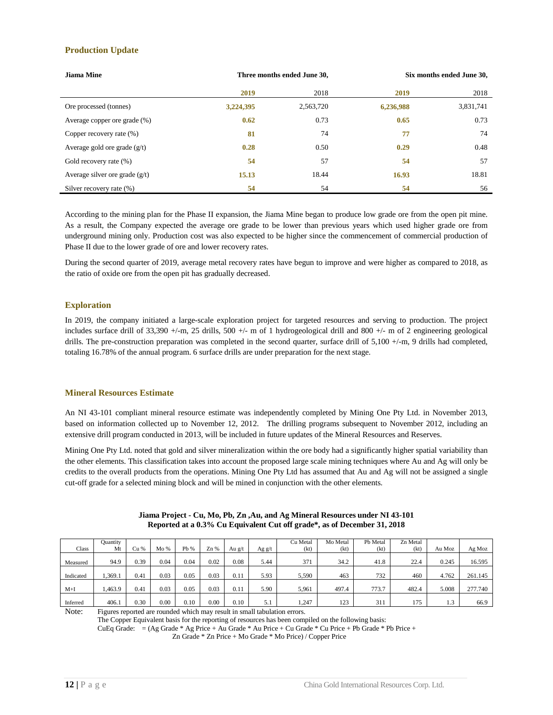#### **Production Update**

| Jiama Mine                       | Three months ended June 30, |           | Six months ended June 30, |           |  |
|----------------------------------|-----------------------------|-----------|---------------------------|-----------|--|
|                                  | 2019                        | 2018      | 2019                      | 2018      |  |
| Ore processed (tonnes)           | 3,224,395                   | 2,563,720 | 6,236,988                 | 3,831,741 |  |
| Average copper ore grade (%)     | 0.62                        | 0.73      | 0.65                      | 0.73      |  |
| Copper recovery rate (%)         | 81                          | 74        | 77                        | 74        |  |
| Average gold ore grade $(g/t)$   | 0.28                        | 0.50      | 0.29                      | 0.48      |  |
| Gold recovery rate (%)           | 54                          | 57        | 54                        | 57        |  |
| Average silver ore grade $(g/t)$ | 15.13                       | 18.44     | 16.93                     | 18.81     |  |
| Silver recovery rate (%)         | 54                          | 54        | 54                        | 56        |  |

According to the mining plan for the Phase II expansion, the Jiama Mine began to produce low grade ore from the open pit mine. As a result, the Company expected the average ore grade to be lower than previous years which used higher grade ore from underground mining only. Production cost was also expected to be higher since the commencement of commercial production of Phase II due to the lower grade of ore and lower recovery rates.

During the second quarter of 2019, average metal recovery rates have begun to improve and were higher as compared to 2018, as the ratio of oxide ore from the open pit has gradually decreased.

#### **Exploration**

In 2019, the company initiated a large-scale exploration project for targeted resources and serving to production. The project includes surface drill of 33,390  $+/-m$ , 25 drills, 500  $+/-$  m of 1 hydrogeological drill and 800  $+/-$  m of 2 engineering geological drills. The pre-construction preparation was completed in the second quarter, surface drill of 5,100 +/-m, 9 drills had completed, totaling 16.78% of the annual program. 6 surface drills are under preparation for the next stage.

#### **Mineral Resources Estimate**

An NI 43-101 compliant mineral resource estimate was independently completed by Mining One Pty Ltd. in November 2013, based on information collected up to November 12, 2012. The drilling programs subsequent to November 2012, including an extensive drill program conducted in 2013, will be included in future updates of the Mineral Resources and Reserves.

Mining One Pty Ltd. noted that gold and silver mineralization within the ore body had a significantly higher spatial variability than the other elements. This classification takes into account the proposed large scale mining techniques where Au and Ag will only be credits to the overall products from the operations. Mining One Pty Ltd has assumed that Au and Ag will not be assigned a single cut-off grade for a selected mining block and will be mined in conjunction with the other elements.

| Class     | Quantity<br>Mt | Cu % | Mo % | Pb % | Zn % | Au g/t | Ag g/t | Cu Metal<br>(kt) | Mo Metal<br>(kt) | Pb Metal<br>(kt) | Zn Metal<br>(kt) | Au Moz | Ag Moz  |
|-----------|----------------|------|------|------|------|--------|--------|------------------|------------------|------------------|------------------|--------|---------|
| Measured  | 94.9           | 0.39 | 0.04 | 0.04 | 0.02 | 0.08   | 5.44   | 371              | 34.2             | 41.8             | 22.4             | 0.245  | 16.595  |
| Indicated | 1,369.1        | 0.41 | 0.03 | 0.05 | 0.03 | 0.11   | 5.93   | 5.590            | 463              | 732              | 460              | 4.762  | 261.145 |
| $M+I$     | 1,463.9        | 0.41 | 0.03 | 0.05 | 0.03 | 0.11   | 5.90   | 5,961            | 497.4            | 773.7            | 482.4            | 5.008  | 277.740 |
| Inferred  | 406.1          | 0.30 | 0.00 | 0.10 | 0.00 | 0.10   | 5.1    | .247             | 123              | 311              | 175              | 1.3    | 66.9    |

| Jiama Project - Cu, Mo, Pb, Zn, Au, and Ag Mineral Resources under NI 43-101 |
|------------------------------------------------------------------------------|
| Reported at a 0.3% Cu Equivalent Cut off grade*, as of December 31, 2018     |

Note: Figures reported are rounded which may result in small tabulation errors.

The Copper Equivalent basis for the reporting of resources has been compiled on the following basis:

CuEq Grade: = (Ag Grade \* Ag Price + Au Grade \* Au Price + Cu Grade \* Cu Price + Pb Grade \* Pb Price +

Zn Grade \* Zn Price + Mo Grade \* Mo Price) / Copper Price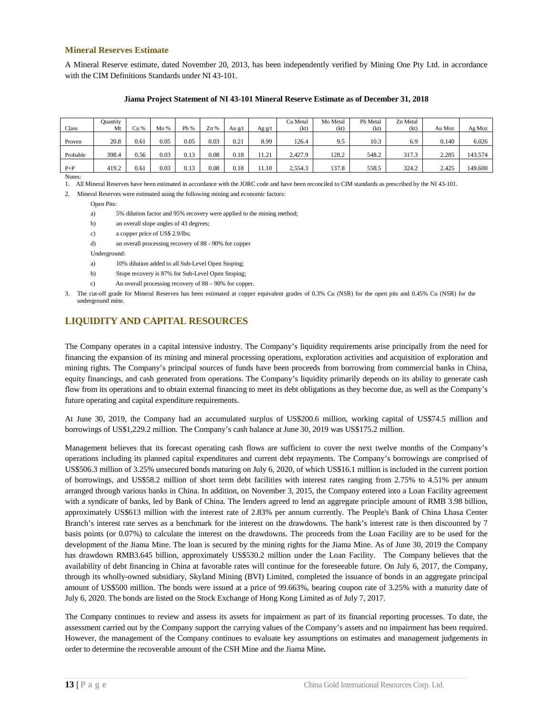#### **Mineral Reserves Estimate**

A Mineral Reserve estimate, dated November 20, 2013, has been independently verified by Mining One Pty Ltd. in accordance with the CIM Definitions Standards under NI 43-101.

| Class    | Quantity<br>Mt | Cu % | Mo%  | Pb % | Zn%  | Au g/t | Ag g/t | Cu Metal<br>(kt) | Mo Metal<br>(kt) | Pb Metal<br>(kt) | Zn Metal<br>(kt) | Au Moz | Ag Moz  |
|----------|----------------|------|------|------|------|--------|--------|------------------|------------------|------------------|------------------|--------|---------|
| Proven   | 20.8           | 0.61 | 0.05 | 0.05 | 0.03 | 0.21   | 8.99   | 126.4            | 9.5              | 10.3             | 6.9              | 0.140  | 6.026   |
| Probable | 398.4          | 0.56 | 0.03 | 0.13 | 0.08 | 0.18   | 11.21  | 2.427.9          | 128.2            | 548.2            | 317.3            | 2.285  | 143.574 |
| $P + P$  | 419.2          | 0.61 | 0.03 | 0.13 | 0.08 | 0.18   | 1.10   | 2,554.3          | 137.8            | 558.5            | 324.2            | 2.425  | 149.600 |

#### **Jiama Project Statement of NI 43-101 Mineral Reserve Estimate as of December 31, 2018**

Notes: 1. All Mineral Reserves have been estimated in accordance with the JORC code and have been reconciled to CIM standards as prescribed by the NI 43-101.

2. Mineral Reserves were estimated using the following mining and economic factors:

Open Pits:

a) 5% dilution factor and 95% recovery were applied to the mining method;

- b) an overall slope angles of 43 degrees;
- c) a copper price of US\$ 2.9/lbs;
- d) an overall processing recovery of 88 90% for copper

Underground:

- a) 10% dilution added to all Sub-Level Open Stoping;
- b) Stope recovery is 87% for Sub-Level Open Stoping;
- c) An overall processing recovery of 88 90% for copper.

3. The cut-off grade for Mineral Reserves has been estimated at copper equivalent grades of 0.3% Cu (NSR) for the open pits and 0.45% Cu (NSR) for the underground mine.

### <span id="page-14-0"></span>**LIQUIDITY AND CAPITAL RESOURCES**

The Company operates in a capital intensive industry. The Company's liquidity requirements arise principally from the need for financing the expansion of its mining and mineral processing operations, exploration activities and acquisition of exploration and mining rights. The Company's principal sources of funds have been proceeds from borrowing from commercial banks in China, equity financings, and cash generated from operations. The Company's liquidity primarily depends on its ability to generate cash flow from its operations and to obtain external financing to meet its debt obligations as they become due, as well as the Company's future operating and capital expenditure requirements.

At June 30, 2019, the Company had an accumulated surplus of US\$200.6 million, working capital of US\$74.5 million and borrowings of US\$1,229.2 million. The Company's cash balance at June 30, 2019 was US\$175.2 million.

Management believes that its forecast operating cash flows are sufficient to cover the next twelve months of the Company's operations including its planned capital expenditures and current debt repayments. The Company's borrowings are comprised of US\$506.3 million of 3.25% unsecured bonds maturing on July 6, 2020, of which US\$16.1 million is included in the current portion of borrowings, and US\$58.2 million of short term debt facilities with interest rates ranging from 2.75% to 4.51% per annum arranged through various banks in China. In addition, on November 3, 2015, the Company entered into a Loan Facility agreement with a syndicate of banks, led by Bank of China. The lenders agreed to lend an aggregate principle amount of RMB 3.98 billion, approximately US\$613 million with the interest rate of 2.83% per annum currently. The People's Bank of China Lhasa Center Branch's interest rate serves as a benchmark for the interest on the drawdowns. The bank's interest rate is then discounted by 7 basis points (or 0.07%) to calculate the interest on the drawdowns. The proceeds from the Loan Facility are to be used for the development of the Jiama Mine. The loan is secured by the mining rights for the Jiama Mine. As of June 30, 2019 the Company has drawdown RMB3.645 billion, approximately US\$530.2 million under the Loan Facility. The Company believes that the availability of debt financing in China at favorable rates will continue for the foreseeable future. On July 6, 2017, the Company, through its wholly-owned subsidiary, Skyland Mining (BVI) Limited, completed the issuance of bonds in an aggregate principal amount of US\$500 million. The bonds were issued at a price of 99.663%, bearing coupon rate of 3.25% with a maturity date of July 6, 2020. The bonds are listed on the Stock Exchange of Hong Kong Limited as of July 7, 2017.

The Company continues to review and assess its assets for impairment as part of its financial reporting processes. To date, the assessment carried out by the Company support the carrying values of the Company's assets and no impairment has been required. However, the management of the Company continues to evaluate key assumptions on estimates and management judgements in order to determine the recoverable amount of the CSH Mine and the Jiama Mine**.**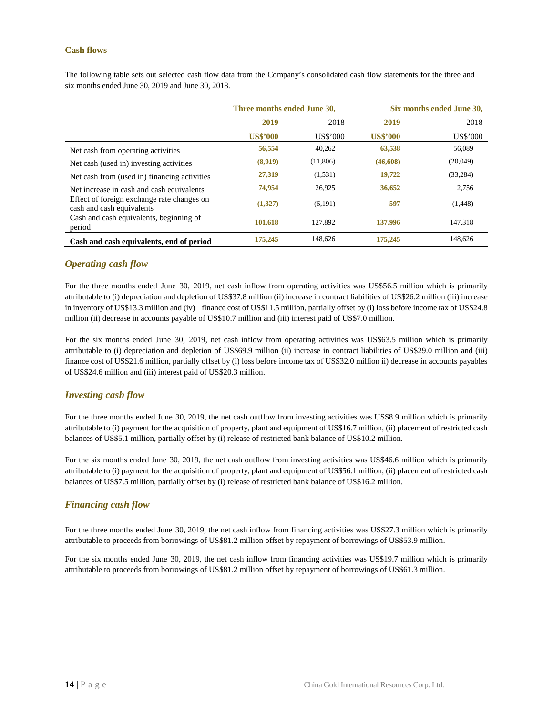#### <span id="page-15-0"></span>**Cash flows**

The following table sets out selected cash flow data from the Company's consolidated cash flow statements for the three and six months ended June 30, 2019 and June 30, 2018.

|                                                                         | Three months ended June 30, |          | Six months ended June 30, |           |  |
|-------------------------------------------------------------------------|-----------------------------|----------|---------------------------|-----------|--|
|                                                                         | 2018<br>2019                |          | 2019                      | 2018      |  |
|                                                                         | <b>US\$'000</b>             | US\$'000 | <b>US\$'000</b>           | US\$'000  |  |
| Net cash from operating activities                                      | 56,554                      | 40,262   | 63,538                    | 56,089    |  |
| Net cash (used in) investing activities                                 | (8,919)                     | (11,806) | (46,608)                  | (20,049)  |  |
| Net cash from (used in) financing activities                            | 27,319                      | (1, 531) | 19,722                    | (33, 284) |  |
| Net increase in cash and cash equivalents                               | 74,954                      | 26,925   | 36,652                    | 2,756     |  |
| Effect of foreign exchange rate changes on<br>cash and cash equivalents | (1,327)                     | (6, 191) | 597                       | (1,448)   |  |
| Cash and cash equivalents, beginning of<br>period                       | 101,618                     | 127.892  | 137,996                   | 147,318   |  |
| Cash and cash equivalents, end of period                                | 175,245                     | 148.626  | 175,245                   | 148.626   |  |

### <span id="page-15-1"></span>*Operating cash flow*

For the three months ended June 30, 2019, net cash inflow from operating activities was US\$56.5 million which is primarily attributable to (i) depreciation and depletion of US\$37.8 million (ii) increase in contract liabilities of US\$26.2 million (iii) increase in inventory of US\$13.3 million and (iv) finance cost of US\$11.5 million, partially offset by (i) loss before income tax of US\$24.8 million (ii) decrease in accounts payable of US\$10.7 million and (iii) interest paid of US\$7.0 million.

For the six months ended June 30, 2019, net cash inflow from operating activities was US\$63.5 million which is primarily attributable to (i) depreciation and depletion of US\$69.9 million (ii) increase in contract liabilities of US\$29.0 million and (iii) finance cost of US\$21.6 million, partially offset by (i) loss before income tax of US\$32.0 million ii) decrease in accounts payables of US\$24.6 million and (iii) interest paid of US\$20.3 million.

#### <span id="page-15-2"></span>*Investing cash flow*

For the three months ended June 30, 2019, the net cash outflow from investing activities was US\$8.9 million which is primarily attributable to (i) payment for the acquisition of property, plant and equipment of US\$16.7 million, (ii) placement of restricted cash balances of US\$5.1 million, partially offset by (i) release of restricted bank balance of US\$10.2 million.

For the six months ended June 30, 2019, the net cash outflow from investing activities was US\$46.6 million which is primarily attributable to (i) payment for the acquisition of property, plant and equipment of US\$56.1 million, (ii) placement of restricted cash balances of US\$7.5 million, partially offset by (i) release of restricted bank balance of US\$16.2 million.

### <span id="page-15-3"></span>*Financing cash flow*

For the three months ended June 30, 2019, the net cash inflow from financing activities was US\$27.3 million which is primarily attributable to proceeds from borrowings of US\$81.2 million offset by repayment of borrowings of US\$53.9 million.

For the six months ended June 30, 2019, the net cash inflow from financing activities was US\$19.7 million which is primarily attributable to proceeds from borrowings of US\$81.2 million offset by repayment of borrowings of US\$61.3 million.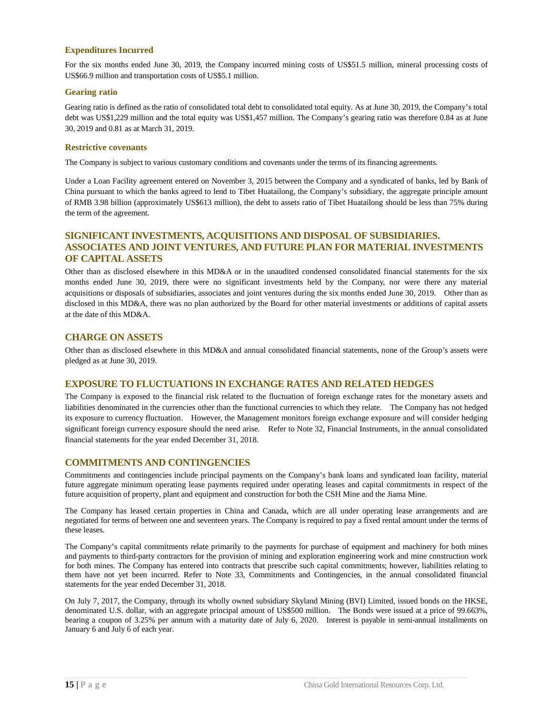#### **Expenditures Incurred**

For the six months ended June 30, 2019, the Company incurred mining costs of US\$51.5 million, mineral processing costs of US\$66.9 million and transportation costs of US\$5.1 million.

#### **Gearing ratio**

Gearing ratio is defined as the ratio of consolidated total debt to consolidated total equity. As at June 30, 2019, the Company's total debt was US\$1,229 million and the total equity was US\$1,457 million. The Company's gearing ratio was therefore 0.84 as at June 30, 2019 and 0.81 as at March 31, 2019.

#### **Restrictive covenants**

The Company is subject to various customary conditions and covenants under the terms of its financing agreements.

Under a Loan Facility agreement entered on November 3, 2015 between the Company and a syndicated of banks, led by Bank of China pursuant to which the banks agreed to lend to Tibet Huatailong, the Company's subsidiary, the aggregate principle amount of RMB 3.98 billion (approximately US\$613 million), the debt to assets ratio of Tibet Huatailong should be less than 75% during the term of the agreement.

### <span id="page-16-0"></span>**SIGNIFICANT INVESTMENTS, ACQUISITIONS AND DISPOSAL OF SUBSIDIARIES. ASSOCIATES AND JOINT VENTURES, AND FUTURE PLAN FOR MATERIAL INVESTMENTS OF CAPITAL ASSETS**

Other than as disclosed elsewhere in this MD&A or in the unaudited condensed consolidated financial statements for the six months ended June 30, 2019, there were no significant investments held by the Company, nor were there any material acquisitions or disposals of subsidiaries, associates and joint ventures during the six months ended June 30, 2019. Other than as disclosed in this MD&A, there was no plan authorized by the Board for other material investments or additions of capital assets at the date of this MD&A.

### <span id="page-16-1"></span>**CHARGE ON ASSETS**

Other than as disclosed elsewhere in this MD&A and annual consolidated financial statements, none of the Group's assets were pledged as at June 30, 2019.

#### <span id="page-16-2"></span>**EXPOSURE TO FLUCTUATIONS IN EXCHANGE RATES AND RELATED HEDGES**

The Company is exposed to the financial risk related to the fluctuation of foreign exchange rates for the monetary assets and liabilities denominated in the currencies other than the functional currencies to which they relate. The Company has not hedged its exposure to currency fluctuation. However, the Management monitors foreign exchange exposure and will consider hedging significant foreign currency exposure should the need arise. Refer to Note 32, Financial Instruments, in the annual consolidated financial statements for the year ended December 31, 2018.

#### <span id="page-16-3"></span>**COMMITMENTS AND CONTINGENCIES**

Commitments and contingencies include principal payments on the Company's bank loans and syndicated loan facility, material future aggregate minimum operating lease payments required under operating leases and capital commitments in respect of the future acquisition of property, plant and equipment and construction for both the CSH Mine and the Jiama Mine.

The Company has leased certain properties in China and Canada, which are all under operating lease arrangements and are negotiated for terms of between one and seventeen years. The Company is required to pay a fixed rental amount under the terms of these leases.

The Company's capital commitments relate primarily to the payments for purchase of equipment and machinery for both mines and payments to third-party contractors for the provision of mining and exploration engineering work and mine construction work for both mines. The Company has entered into contracts that prescribe such capital commitments; however, liabilities relating to them have not yet been incurred. Refer to Note 33, Commitments and Contingencies, in the annual consolidated financial statements for the year ended December 31, 2018.

On July 7, 2017, the Company, through its wholly owned subsidiary Skyland Mining (BVI) Limited, issued bonds on the HKSE, denominated U.S. dollar, with an aggregate principal amount of US\$500 million. The Bonds were issued at a price of 99.663%, bearing a coupon of 3.25% per annum with a maturity date of July 6, 2020. Interest is payable in semi-annual installments on January 6 and July 6 of each year.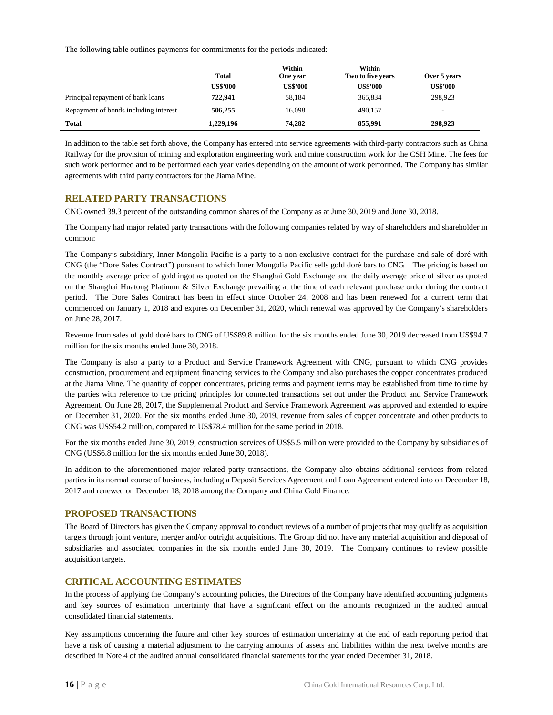The following table outlines payments for commitments for the periods indicated:

|                                       | <b>Total</b>    | Within<br>One year | Within<br>Two to five years | Over 5 years    |
|---------------------------------------|-----------------|--------------------|-----------------------------|-----------------|
|                                       | <b>US\$'000</b> | <b>US\$'000</b>    | <b>US\$'000</b>             | <b>US\$'000</b> |
| Principal repayment of bank loans     | 722,941         | 58,184             | 365,834                     | 298,923         |
| Repayment of bonds including interest | 506,255         | 16,098             | 490.157                     | -               |
| Total                                 | 1,229,196       | 74.282             | 855,991                     | 298,923         |

In addition to the table set forth above, the Company has entered into service agreements with third-party contractors such as China Railway for the provision of mining and exploration engineering work and mine construction work for the CSH Mine. The fees for such work performed and to be performed each year varies depending on the amount of work performed. The Company has similar agreements with third party contractors for the Jiama Mine.

### <span id="page-17-0"></span>**RELATED PARTY TRANSACTIONS**

CNG owned 39.3 percent of the outstanding common shares of the Company as at June 30, 2019 and June 30, 2018.

The Company had major related party transactions with the following companies related by way of shareholders and shareholder in common:

The Company's subsidiary, Inner Mongolia Pacific is a party to a non-exclusive contract for the purchase and sale of doré with CNG (the "Dore Sales Contract") pursuant to which Inner Mongolia Pacific sells gold doré bars to CNG. The pricing is based on the monthly average price of gold ingot as quoted on the Shanghai Gold Exchange and the daily average price of silver as quoted on the Shanghai Huatong Platinum & Silver Exchange prevailing at the time of each relevant purchase order during the contract period. The Dore Sales Contract has been in effect since October 24, 2008 and has been renewed for a current term that commenced on January 1, 2018 and expires on December 31, 2020, which renewal was approved by the Company's shareholders on June 28, 2017.

Revenue from sales of gold doré bars to CNG of US\$89.8 million for the six months ended June 30, 2019 decreased from US\$94.7 million for the six months ended June 30, 2018.

The Company is also a party to a Product and Service Framework Agreement with CNG, pursuant to which CNG provides construction, procurement and equipment financing services to the Company and also purchases the copper concentrates produced at the Jiama Mine. The quantity of copper concentrates, pricing terms and payment terms may be established from time to time by the parties with reference to the pricing principles for connected transactions set out under the Product and Service Framework Agreement. On June 28, 2017, the Supplemental Product and Service Framework Agreement was approved and extended to expire on December 31, 2020. For the six months ended June 30, 2019, revenue from sales of copper concentrate and other products to CNG was US\$54.2 million, compared to US\$78.4 million for the same period in 2018.

For the six months ended June 30, 2019, construction services of US\$5.5 million were provided to the Company by subsidiaries of CNG (US\$6.8 million for the six months ended June 30, 2018).

In addition to the aforementioned major related party transactions, the Company also obtains additional services from related parties in its normal course of business, including a Deposit Services Agreement and Loan Agreement entered into on December 18, 2017 and renewed on December 18, 2018 among the Company and China Gold Finance.

#### <span id="page-17-1"></span>**PROPOSED TRANSACTIONS**

The Board of Directors has given the Company approval to conduct reviews of a number of projects that may qualify as acquisition targets through joint venture, merger and/or outright acquisitions. The Group did not have any material acquisition and disposal of subsidiaries and associated companies in the six months ended June 30, 2019. The Company continues to review possible acquisition targets.

### <span id="page-17-2"></span>**CRITICAL ACCOUNTING ESTIMATES**

In the process of applying the Company's accounting policies, the Directors of the Company have identified accounting judgments and key sources of estimation uncertainty that have a significant effect on the amounts recognized in the audited annual consolidated financial statements.

Key assumptions concerning the future and other key sources of estimation uncertainty at the end of each reporting period that have a risk of causing a material adjustment to the carrying amounts of assets and liabilities within the next twelve months are described in Note 4 of the audited annual consolidated financial statements for the year ended December 31, 2018.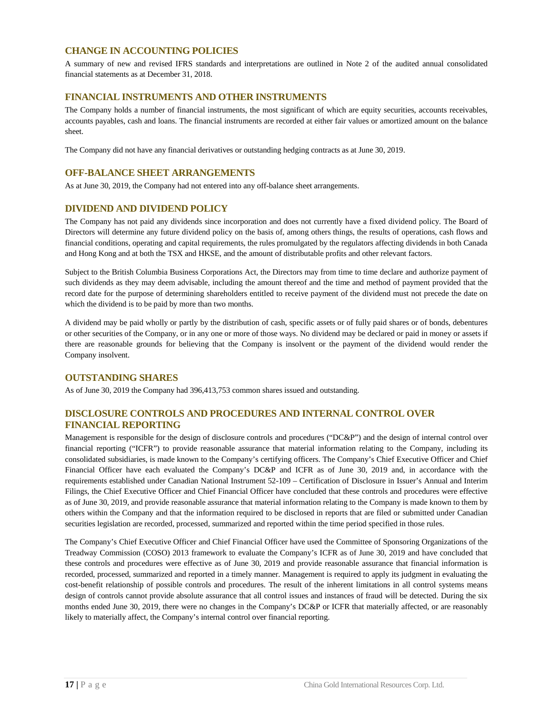### <span id="page-18-0"></span>**CHANGE IN ACCOUNTING POLICIES**

A summary of new and revised IFRS standards and interpretations are outlined in Note 2 of the audited annual consolidated financial statements as at December 31, 2018.

### <span id="page-18-1"></span>**FINANCIAL INSTRUMENTS AND OTHER INSTRUMENTS**

The Company holds a number of financial instruments, the most significant of which are equity securities, accounts receivables, accounts payables, cash and loans. The financial instruments are recorded at either fair values or amortized amount on the balance sheet.

The Company did not have any financial derivatives or outstanding hedging contracts as at June 30, 2019.

### <span id="page-18-2"></span>**OFF-BALANCE SHEET ARRANGEMENTS**

As at June 30, 2019, the Company had not entered into any off-balance sheet arrangements.

### <span id="page-18-3"></span>**DIVIDEND AND DIVIDEND POLICY**

The Company has not paid any dividends since incorporation and does not currently have a fixed dividend policy. The Board of Directors will determine any future dividend policy on the basis of, among others things, the results of operations, cash flows and financial conditions, operating and capital requirements, the rules promulgated by the regulators affecting dividends in both Canada and Hong Kong and at both the TSX and HKSE, and the amount of distributable profits and other relevant factors.

Subject to the British Columbia Business Corporations Act, the Directors may from time to time declare and authorize payment of such dividends as they may deem advisable, including the amount thereof and the time and method of payment provided that the record date for the purpose of determining shareholders entitled to receive payment of the dividend must not precede the date on which the dividend is to be paid by more than two months.

A dividend may be paid wholly or partly by the distribution of cash, specific assets or of fully paid shares or of bonds, debentures or other securities of the Company, or in any one or more of those ways. No dividend may be declared or paid in money or assets if there are reasonable grounds for believing that the Company is insolvent or the payment of the dividend would render the Company insolvent.

#### <span id="page-18-4"></span>**OUTSTANDING SHARES**

As of June 30, 2019 the Company had 396,413,753 common shares issued and outstanding.

### <span id="page-18-5"></span>**DISCLOSURE CONTROLS AND PROCEDURES AND INTERNAL CONTROL OVER FINANCIAL REPORTING**

Management is responsible for the design of disclosure controls and procedures ("DC&P") and the design of internal control over financial reporting ("ICFR") to provide reasonable assurance that material information relating to the Company, including its consolidated subsidiaries, is made known to the Company's certifying officers. The Company's Chief Executive Officer and Chief Financial Officer have each evaluated the Company's DC&P and ICFR as of June 30, 2019 and, in accordance with the requirements established under Canadian National Instrument 52-109 – Certification of Disclosure in Issuer's Annual and Interim Filings, the Chief Executive Officer and Chief Financial Officer have concluded that these controls and procedures were effective as of June 30, 2019, and provide reasonable assurance that material information relating to the Company is made known to them by others within the Company and that the information required to be disclosed in reports that are filed or submitted under Canadian securities legislation are recorded, processed, summarized and reported within the time period specified in those rules.

The Company's Chief Executive Officer and Chief Financial Officer have used the Committee of Sponsoring Organizations of the Treadway Commission (COSO) 2013 framework to evaluate the Company's ICFR as of June 30, 2019 and have concluded that these controls and procedures were effective as of June 30, 2019 and provide reasonable assurance that financial information is recorded, processed, summarized and reported in a timely manner. Management is required to apply its judgment in evaluating the cost-benefit relationship of possible controls and procedures. The result of the inherent limitations in all control systems means design of controls cannot provide absolute assurance that all control issues and instances of fraud will be detected. During the six months ended June 30, 2019, there were no changes in the Company's DC&P or ICFR that materially affected, or are reasonably likely to materially affect, the Company's internal control over financial reporting.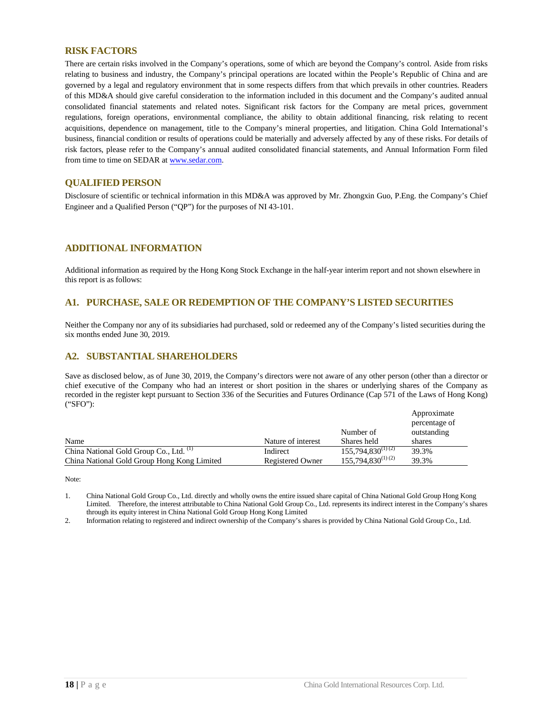#### <span id="page-19-0"></span>**RISK FACTORS**

There are certain risks involved in the Company's operations, some of which are beyond the Company's control. Aside from risks relating to business and industry, the Company's principal operations are located within the People's Republic of China and are governed by a legal and regulatory environment that in some respects differs from that which prevails in other countries. Readers of this MD&A should give careful consideration to the information included in this document and the Company's audited annual consolidated financial statements and related notes. Significant risk factors for the Company are metal prices, government regulations, foreign operations, environmental compliance, the ability to obtain additional financing, risk relating to recent acquisitions, dependence on management, title to the Company's mineral properties, and litigation. China Gold International's business, financial condition or results of operations could be materially and adversely affected by any of these risks. For details of risk factors, please refer to the Company's annual audited consolidated financial statements, and Annual Information Form filed from time to time on SEDAR a[t www.sedar.com.](http://www.sedar.com/)

#### <span id="page-19-1"></span>**QUALIFIED PERSON**

Disclosure of scientific or technical information in this MD&A was approved by Mr. Zhongxin Guo, P.Eng. the Company's Chief Engineer and a Qualified Person ("QP") for the purposes of NI 43-101.

### <span id="page-19-2"></span>**ADDITIONAL INFORMATION**

Additional information as required by the Hong Kong Stock Exchange in the half-year interim report and not shown elsewhere in this report is as follows:

#### **A1. PURCHASE, SALE OR REDEMPTION OF THE COMPANY'S LISTED SECURITIES**

Neither the Company nor any of its subsidiaries had purchased, sold or redeemed any of the Company's listed securities during the six months ended June 30, 2019.

### **A2. SUBSTANTIAL SHAREHOLDERS**

Save as disclosed below, as of June 30, 2019, the Company's directors were not aware of any other person (other than a director or chief executive of the Company who had an interest or short position in the shares or underlying shares of the Company as recorded in the register kept pursuant to Section 336 of the Securities and Futures Ordinance (Cap 571 of the Laws of Hong Kong) ("SFO"):

|                                             |                         |                        | Approximate   |
|---------------------------------------------|-------------------------|------------------------|---------------|
|                                             |                         |                        | percentage of |
|                                             |                         | Number of              | outstanding   |
| Name                                        | Nature of interest      | Shares held            | shares        |
| China National Gold Group Co., Ltd. (1)     | Indirect                | $155,794,830^{(1)(2)}$ | 39.3%         |
| China National Gold Group Hong Kong Limited | <b>Registered Owner</b> | $155,794,830^{(1)(2)}$ | 39.3%         |

Note:

1. China National Gold Group Co., Ltd. directly and wholly owns the entire issued share capital of China National Gold Group Hong Kong Limited. Therefore, the interest attributable to China National Gold Group Co., Ltd. represents its indirect interest in the Company's shares through its equity interest in China National Gold Group Hong Kong Limited

2. Information relating to registered and indirect ownership of the Company's shares is provided by China National Gold Group Co., Ltd.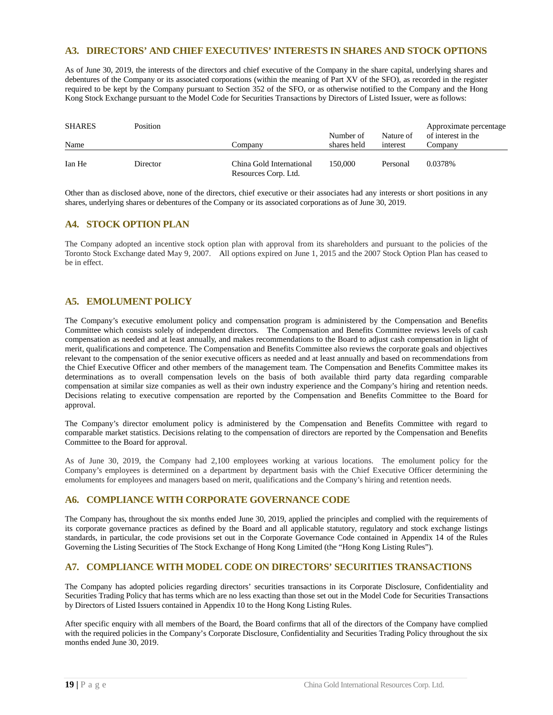#### **A3. DIRECTORS' AND CHIEF EXECUTIVES' INTERESTS IN SHARES AND STOCK OPTIONS**

As of June 30, 2019, the interests of the directors and chief executive of the Company in the share capital, underlying shares and debentures of the Company or its associated corporations (within the meaning of Part XV of the SFO), as recorded in the register required to be kept by the Company pursuant to Section 352 of the SFO, or as otherwise notified to the Company and the Hong Kong Stock Exchange pursuant to the Model Code for Securities Transactions by Directors of Listed Issuer, were as follows:

| <b>SHARES</b><br>Name | Position<br>Company |                                                  | Number of<br>shares held | Approximate percentage<br>of interest in the<br>Nature of<br>interest<br>Company |         |
|-----------------------|---------------------|--------------------------------------------------|--------------------------|----------------------------------------------------------------------------------|---------|
| Ian He                | Director            | China Gold International<br>Resources Corp. Ltd. | 150.000                  | Personal                                                                         | 0.0378% |

Other than as disclosed above, none of the directors, chief executive or their associates had any interests or short positions in any shares, underlying shares or debentures of the Company or its associated corporations as of June 30, 2019.

### **A4. STOCK OPTION PLAN**

The Company adopted an incentive stock option plan with approval from its shareholders and pursuant to the policies of the Toronto Stock Exchange dated May 9, 2007. All options expired on June 1, 2015 and the 2007 Stock Option Plan has ceased to be in effect.

### **A5. EMOLUMENT POLICY**

The Company's executive emolument policy and compensation program is administered by the Compensation and Benefits Committee which consists solely of independent directors. The Compensation and Benefits Committee reviews levels of cash compensation as needed and at least annually, and makes recommendations to the Board to adjust cash compensation in light of merit, qualifications and competence. The Compensation and Benefits Committee also reviews the corporate goals and objectives relevant to the compensation of the senior executive officers as needed and at least annually and based on recommendations from the Chief Executive Officer and other members of the management team. The Compensation and Benefits Committee makes its determinations as to overall compensation levels on the basis of both available third party data regarding comparable compensation at similar size companies as well as their own industry experience and the Company's hiring and retention needs. Decisions relating to executive compensation are reported by the Compensation and Benefits Committee to the Board for approval.

The Company's director emolument policy is administered by the Compensation and Benefits Committee with regard to comparable market statistics. Decisions relating to the compensation of directors are reported by the Compensation and Benefits Committee to the Board for approval.

As of June 30, 2019, the Company had 2,100 employees working at various locations. The emolument policy for the Company's employees is determined on a department by department basis with the Chief Executive Officer determining the emoluments for employees and managers based on merit, qualifications and the Company's hiring and retention needs.

### **A6. COMPLIANCE WITH CORPORATE GOVERNANCE CODE**

The Company has, throughout the six months ended June 30, 2019, applied the principles and complied with the requirements of its corporate governance practices as defined by the Board and all applicable statutory, regulatory and stock exchange listings standards, in particular, the code provisions set out in the Corporate Governance Code contained in Appendix 14 of the Rules Governing the Listing Securities of The Stock Exchange of Hong Kong Limited (the "Hong Kong Listing Rules").

### **A7. COMPLIANCE WITH MODEL CODE ON DIRECTORS' SECURITIES TRANSACTIONS**

The Company has adopted policies regarding directors' securities transactions in its Corporate Disclosure, Confidentiality and Securities Trading Policy that has terms which are no less exacting than those set out in the Model Code for Securities Transactions by Directors of Listed Issuers contained in Appendix 10 to the Hong Kong Listing Rules.

After specific enquiry with all members of the Board, the Board confirms that all of the directors of the Company have complied with the required policies in the Company's Corporate Disclosure, Confidentiality and Securities Trading Policy throughout the six months ended June 30, 2019.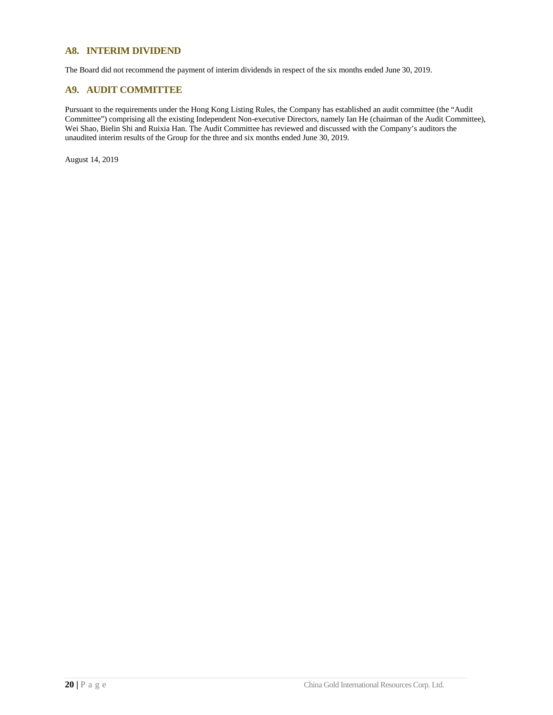### **A8. INTERIM DIVIDEND**

The Board did not recommend the payment of interim dividends in respect of the six months ended June 30, 2019.

### **A9. AUDIT COMMITTEE**

Pursuant to the requirements under the Hong Kong Listing Rules, the Company has established an audit committee (the "Audit Committee") comprising all the existing Independent Non-executive Directors, namely Ian He (chairman of the Audit Committee), Wei Shao, Bielin Shi and Ruixia Han. The Audit Committee has reviewed and discussed with the Company's auditors the unaudited interim results of the Group for the three and six months ended June 30, 2019.

August 14, 2019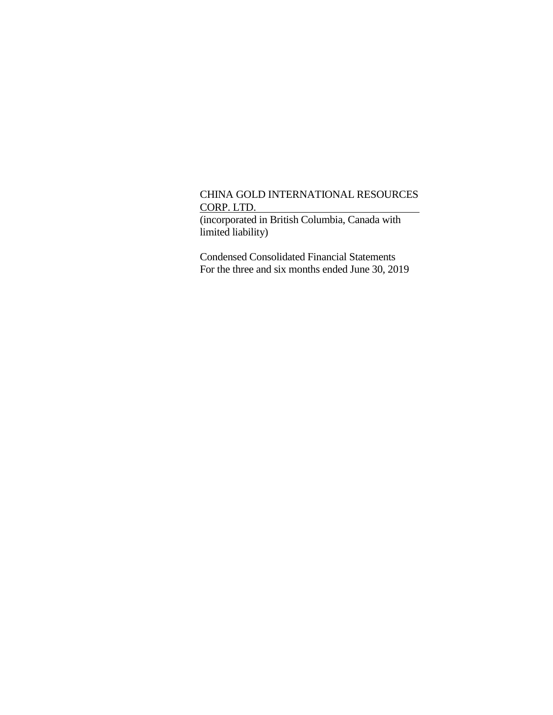(incorporated in British Columbia, Canada with limited liability)

Condensed Consolidated Financial Statements For the three and six months ended June 30, 2019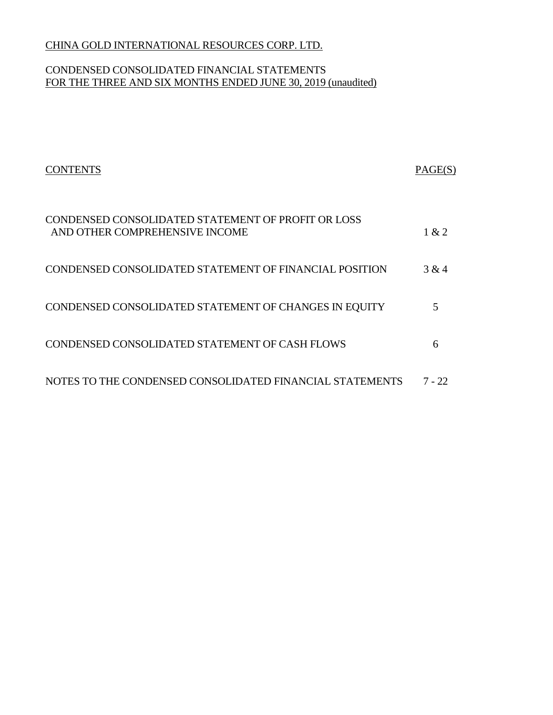# CONDENSED CONSOLIDATED FINANCIAL STATEMENTS FOR THE THREE AND SIX MONTHS ENDED JUNE 30, 2019 (unaudited)

| <b>CONTENTS</b>                                                                      | PAGE(S) |
|--------------------------------------------------------------------------------------|---------|
| CONDENSED CONSOLIDATED STATEMENT OF PROFIT OR LOSS<br>AND OTHER COMPREHENSIVE INCOME | 1 & 2   |
| CONDENSED CONSOLIDATED STATEMENT OF FINANCIAL POSITION                               | 3 & 4   |
| CONDENSED CONSOLIDATED STATEMENT OF CHANGES IN EQUITY                                |         |
| CONDENSED CONSOLIDATED STATEMENT OF CASH FLOWS                                       | 6       |
| NOTES TO THE CONDENSED CONSOLIDATED FINANCIAL STATEMENTS                             | 7 - 22  |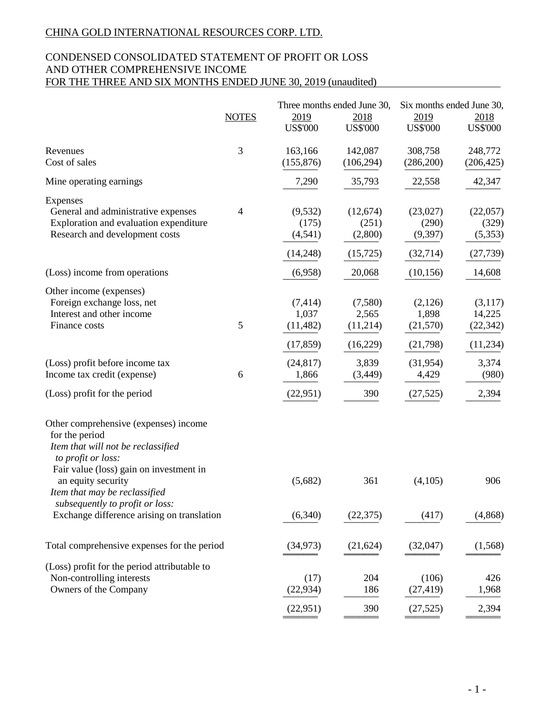# CONDENSED CONSOLIDATED STATEMENT OF PROFIT OR LOSS AND OTHER COMPREHENSIVE INCOME FOR THE THREE AND SIX MONTHS ENDED JUNE 30, 2019 (unaudited)

|                                                                                                                                                                                                                       |                |                                             | Three months ended June 30,               | Six months ended June 30,                  |                                             |
|-----------------------------------------------------------------------------------------------------------------------------------------------------------------------------------------------------------------------|----------------|---------------------------------------------|-------------------------------------------|--------------------------------------------|---------------------------------------------|
|                                                                                                                                                                                                                       | <b>NOTES</b>   | 2019<br><b>US\$'000</b>                     | 2018<br><b>US\$'000</b>                   | 2019<br><b>US\$'000</b>                    | 2018<br><b>US\$'000</b>                     |
|                                                                                                                                                                                                                       |                |                                             |                                           |                                            |                                             |
| Revenues<br>Cost of sales                                                                                                                                                                                             | 3              | 163,166<br>(155, 876)                       | 142,087<br>(106, 294)                     | 308,758<br>(286,200)                       | 248,772<br>(206, 425)                       |
| Mine operating earnings                                                                                                                                                                                               |                | 7,290                                       | 35,793                                    | 22,558                                     | 42,347                                      |
| Expenses<br>General and administrative expenses<br>Exploration and evaluation expenditure<br>Research and development costs                                                                                           | $\overline{4}$ | (9, 532)<br>(175)<br>(4, 541)<br>(14,248)   | (12,674)<br>(251)<br>(2,800)<br>(15, 725) | (23,027)<br>(290)<br>(9, 397)<br>(32, 714) | (22,057)<br>(329)<br>(5,353)<br>(27, 739)   |
| (Loss) income from operations                                                                                                                                                                                         |                | (6,958)                                     | 20,068                                    | (10, 156)                                  | 14,608                                      |
| Other income (expenses)<br>Foreign exchange loss, net<br>Interest and other income<br>Finance costs                                                                                                                   | 5              | (7, 414)<br>1,037<br>(11, 482)<br>(17, 859) | (7,580)<br>2,565<br>(11,214)<br>(16,229)  | (2,126)<br>1,898<br>(21, 570)<br>(21,798)  | (3,117)<br>14,225<br>(22, 342)<br>(11, 234) |
| (Loss) profit before income tax<br>Income tax credit (expense)                                                                                                                                                        | 6              | (24, 817)<br>1,866                          | 3,839<br>(3, 449)                         | (31, 954)<br>4,429                         | 3,374<br>(980)                              |
| (Loss) profit for the period                                                                                                                                                                                          |                | (22, 951)                                   | 390                                       | (27, 525)                                  | 2,394                                       |
| Other comprehensive (expenses) income<br>for the period<br>Item that will not be reclassified<br>to profit or loss:<br>Fair value (loss) gain on investment in<br>an equity security<br>Item that may be reclassified |                | (5,682)                                     | 361                                       | (4,105)                                    | 906                                         |
| subsequently to profit or loss:<br>Exchange difference arising on translation                                                                                                                                         |                | (6,340)                                     | (22, 375)                                 | (417)                                      | (4, 868)                                    |
| Total comprehensive expenses for the period                                                                                                                                                                           |                | (34, 973)                                   | (21, 624)                                 | (32,047)                                   | (1, 568)                                    |
| (Loss) profit for the period attributable to<br>Non-controlling interests<br>Owners of the Company                                                                                                                    |                | (17)<br>(22, 934)                           | 204<br>186                                | (106)<br>(27, 419)                         | 426<br>1,968                                |
|                                                                                                                                                                                                                       |                | (22, 951)                                   | 390                                       | (27, 525)                                  | 2,394                                       |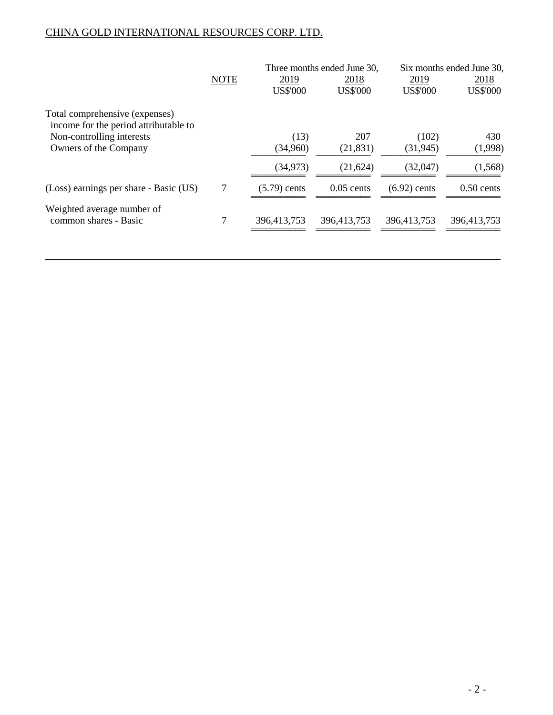|                                                                         |             |                 | Three months ended June 30, | Six months ended June 30, |                 |  |
|-------------------------------------------------------------------------|-------------|-----------------|-----------------------------|---------------------------|-----------------|--|
|                                                                         | <b>NOTE</b> | 2019            | 2018                        | 2019                      | 2018            |  |
|                                                                         |             | <b>US\$'000</b> | <b>US\$'000</b>             | <b>US\$'000</b>           | <b>US\$'000</b> |  |
| Total comprehensive (expenses)<br>income for the period attributable to |             |                 |                             |                           |                 |  |
| Non-controlling interests                                               |             | (13)            | 207                         | (102)                     | 430             |  |
| Owners of the Company                                                   |             | (34,960)        | (21, 831)                   | (31, 945)                 | (1,998)         |  |
|                                                                         |             | (34, 973)       | (21, 624)                   | (32,047)                  | (1,568)         |  |
| (Loss) earnings per share - Basic (US)                                  | 7           | $(5.79)$ cents  | $0.05$ cents                | $(6.92)$ cents            | $0.50$ cents    |  |
| Weighted average number of<br>common shares - Basic                     |             | 396,413,753     | 396,413,753                 | 396,413,753               | 396,413,753     |  |
|                                                                         |             |                 |                             |                           |                 |  |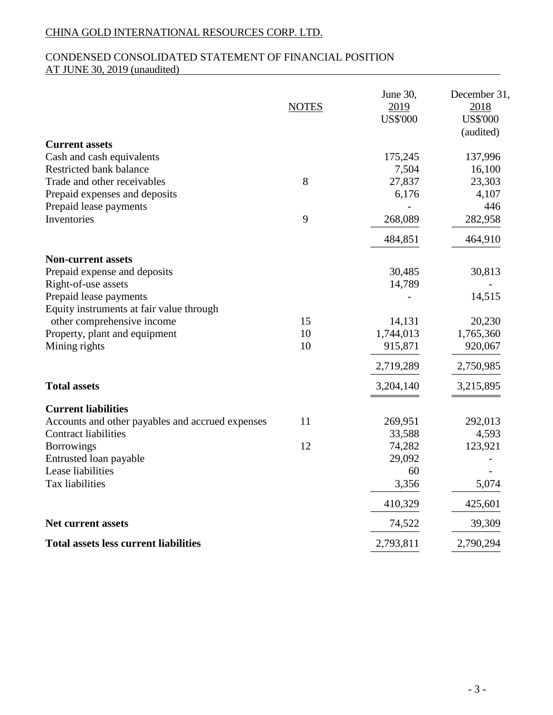# CONDENSED CONSOLIDATED STATEMENT OF FINANCIAL POSITION AT JUNE 30, 2019 (unaudited)

|                                                  | <b>NOTES</b> | June 30,<br>2019<br><b>US\$'000</b> | December 31,<br>2018<br><b>US\$'000</b><br>(audited) |
|--------------------------------------------------|--------------|-------------------------------------|------------------------------------------------------|
| <b>Current assets</b>                            |              |                                     |                                                      |
| Cash and cash equivalents                        |              | 175,245                             | 137,996                                              |
| Restricted bank balance                          |              | 7,504                               | 16,100                                               |
| Trade and other receivables                      | 8            | 27,837                              | 23,303                                               |
| Prepaid expenses and deposits                    |              | 6,176                               | 4,107                                                |
| Prepaid lease payments                           |              |                                     | 446                                                  |
| Inventories                                      | 9            | 268,089                             | 282,958                                              |
|                                                  |              | 484,851                             | 464,910                                              |
| <b>Non-current assets</b>                        |              |                                     |                                                      |
| Prepaid expense and deposits                     |              | 30,485                              | 30,813                                               |
| Right-of-use assets                              |              | 14,789                              |                                                      |
| Prepaid lease payments                           |              |                                     | 14,515                                               |
| Equity instruments at fair value through         |              |                                     |                                                      |
| other comprehensive income                       | 15           | 14,131                              | 20,230                                               |
| Property, plant and equipment                    | 10           | 1,744,013                           | 1,765,360                                            |
| Mining rights                                    | 10           | 915,871                             | 920,067                                              |
|                                                  |              | 2,719,289                           | 2,750,985                                            |
| <b>Total assets</b>                              |              | 3,204,140                           | 3,215,895                                            |
| <b>Current liabilities</b>                       |              |                                     |                                                      |
| Accounts and other payables and accrued expenses | 11           | 269,951                             | 292,013                                              |
| <b>Contract liabilities</b>                      |              | 33,588                              | 4,593                                                |
| <b>Borrowings</b>                                | 12           | 74,282                              | 123,921                                              |
| Entrusted loan payable                           |              | 29,092                              |                                                      |
| Lease liabilities                                |              | 60                                  |                                                      |
| Tax liabilities                                  |              | 3,356                               | 5,074                                                |
|                                                  |              | 410,329                             | 425,601                                              |
| <b>Net current assets</b>                        |              | 74,522                              | 39,309                                               |
| <b>Total assets less current liabilities</b>     |              | 2,793,811                           | 2,790,294                                            |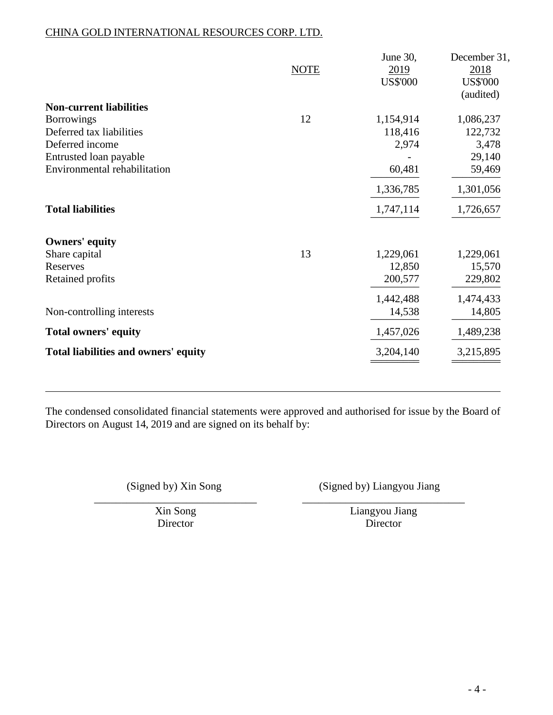|                                      | <b>NOTE</b> | June 30,<br>2019 | December 31,<br>2018 |
|--------------------------------------|-------------|------------------|----------------------|
|                                      |             | <b>US\$'000</b>  | <b>US\$'000</b>      |
|                                      |             |                  | (audited)            |
| <b>Non-current liabilities</b>       |             |                  |                      |
| <b>Borrowings</b>                    | 12          | 1,154,914        | 1,086,237            |
| Deferred tax liabilities             |             | 118,416          | 122,732              |
| Deferred income                      |             | 2,974            | 3,478                |
| Entrusted loan payable               |             |                  | 29,140               |
| Environmental rehabilitation         |             | 60,481           | 59,469               |
|                                      |             | 1,336,785        | 1,301,056            |
| <b>Total liabilities</b>             |             | 1,747,114        | 1,726,657            |
| <b>Owners' equity</b>                |             |                  |                      |
| Share capital                        | 13          | 1,229,061        | 1,229,061            |
| Reserves                             |             | 12,850           | 15,570               |
| Retained profits                     |             | 200,577          | 229,802              |
|                                      |             | 1,442,488        | 1,474,433            |
| Non-controlling interests            |             | 14,538           | 14,805               |
| <b>Total owners' equity</b>          |             | 1,457,026        | 1,489,238            |
| Total liabilities and owners' equity |             | 3,204,140        | 3,215,895            |
|                                      |             |                  |                      |

The condensed consolidated financial statements were approved and authorised for issue by the Board of Directors on August 14, 2019 and are signed on its behalf by:

(Signed by) Xin Song (Signed by) Liangyou Jiang

\_\_\_\_\_\_\_\_\_\_\_\_\_\_\_\_\_\_\_\_\_\_\_\_\_\_\_\_\_\_ \_\_\_\_\_\_\_\_\_\_\_\_\_\_\_\_\_\_\_\_\_\_\_\_\_\_\_\_\_\_

Xin Song Liangyou Jiang Director Director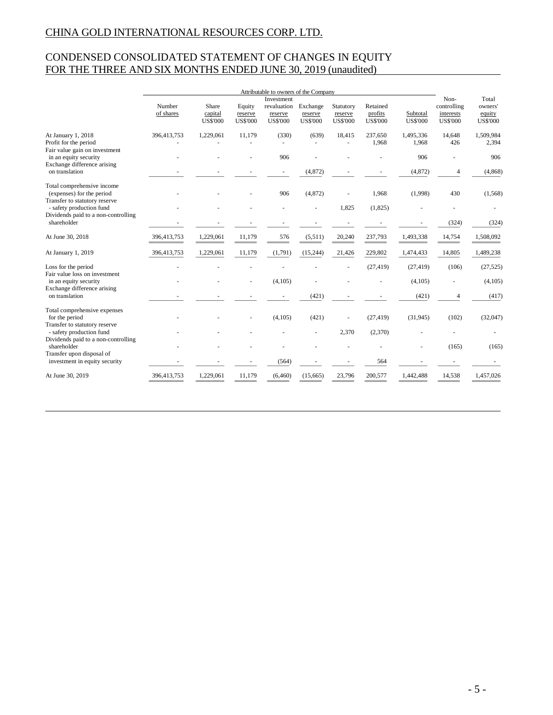# CONDENSED CONSOLIDATED STATEMENT OF CHANGES IN EQUITY FOR THE THREE AND SIX MONTHS ENDED JUNE 30, 2019 (unaudited)

|                                                                                 | Attributable to owners of the Company<br>Investment |                                     |                                      |                                           |                                        | Non-                                    | Total                                  |                             |                                             |                                      |
|---------------------------------------------------------------------------------|-----------------------------------------------------|-------------------------------------|--------------------------------------|-------------------------------------------|----------------------------------------|-----------------------------------------|----------------------------------------|-----------------------------|---------------------------------------------|--------------------------------------|
|                                                                                 | Number<br>of shares                                 | Share<br>capital<br><b>US\$'000</b> | Equity<br>reserve<br><b>US\$'000</b> | revaluation<br>reserve<br><b>US\$'000</b> | Exchange<br>reserve<br><b>US\$'000</b> | Statutory<br>reserve<br><b>US\$'000</b> | Retained<br>profits<br><b>US\$'000</b> | Subtotal<br><b>US\$'000</b> | controlling<br>interests<br><b>US\$'000</b> | owners'<br>equity<br><b>US\$'000</b> |
| At January 1, 2018<br>Profit for the period                                     | 396,413,753                                         | 1,229,061                           | 11,179                               | (330)<br>$\overline{a}$                   | (639)                                  | 18,415                                  | 237,650<br>1,968                       | 1,495,336<br>1,968          | 14,648<br>426                               | 1,509,984<br>2,394                   |
| Fair value gain on investment<br>in an equity security                          |                                                     |                                     |                                      | 906                                       |                                        |                                         |                                        | 906                         |                                             | 906                                  |
| Exchange difference arising<br>on translation                                   |                                                     |                                     |                                      |                                           | (4, 872)                               |                                         |                                        | (4, 872)                    | 4                                           | (4, 868)                             |
| Total comprehensive income<br>(expenses) for the period                         |                                                     |                                     |                                      | 906                                       | (4, 872)                               |                                         | 1,968                                  | (1,998)                     | 430                                         | (1, 568)                             |
| Transfer to statutory reserve<br>- safety production fund                       |                                                     |                                     |                                      |                                           |                                        | 1.825                                   | (1,825)                                |                             |                                             |                                      |
| Dividends paid to a non-controlling<br>shareholder                              |                                                     |                                     |                                      |                                           |                                        |                                         |                                        |                             | (324)                                       | (324)                                |
| At June 30, 2018                                                                | 396,413,753                                         | 1,229,061                           | 11,179                               | 576                                       | (5,511)                                | 20,240                                  | 237,793                                | 1,493,338                   | 14,754                                      | 1,508,092                            |
| At January 1, 2019                                                              | 396,413,753                                         | 1,229,061                           | 11,179                               | (1,791)                                   | (15,244)                               | 21,426                                  | 229,802                                | 1,474,433                   | 14,805                                      | 1,489,238                            |
| Loss for the period<br>Fair value loss on investment                            |                                                     |                                     |                                      |                                           |                                        |                                         | (27, 419)                              | (27, 419)                   | (106)                                       | (27, 525)                            |
| in an equity security                                                           |                                                     |                                     |                                      | (4,105)                                   |                                        |                                         |                                        | (4,105)                     |                                             | (4,105)                              |
| Exchange difference arising<br>on translation                                   |                                                     |                                     |                                      |                                           | (421)                                  |                                         |                                        | (421)                       | $\overline{\mathcal{A}}$                    | (417)                                |
| Total comprehensive expenses<br>for the period<br>Transfer to statutory reserve |                                                     |                                     |                                      | (4,105)                                   | (421)                                  |                                         | (27, 419)                              | (31,945)                    | (102)                                       | (32,047)                             |
| - safety production fund                                                        |                                                     |                                     |                                      |                                           | ÷.                                     | 2,370                                   | (2,370)                                |                             |                                             |                                      |
| Dividends paid to a non-controlling<br>shareholder<br>Transfer upon disposal of |                                                     |                                     |                                      |                                           |                                        |                                         |                                        |                             | (165)                                       | (165)                                |
| investment in equity security                                                   |                                                     |                                     |                                      | (564)                                     |                                        |                                         | 564                                    |                             |                                             |                                      |
| At June 30, 2019                                                                | 396,413,753                                         | 1.229,061                           | 11.179                               | (6, 460)                                  | (15.665)                               | 23,796                                  | 200,577                                | 1,442,488                   | 14,538                                      | 1.457.026                            |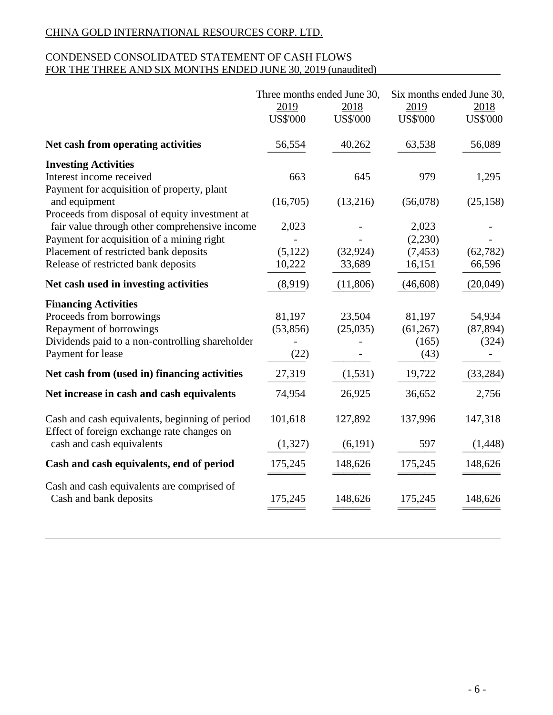# CONDENSED CONSOLIDATED STATEMENT OF CASH FLOWS FOR THE THREE AND SIX MONTHS ENDED JUNE 30, 2019 (unaudited)

|                                                                                              | Three months ended June 30,<br>2019<br><b>US\$'000</b> | 2018<br><b>US\$'000</b> | Six months ended June 30,<br>2019<br><b>US\$'000</b> | 2018<br><b>US\$'000</b> |
|----------------------------------------------------------------------------------------------|--------------------------------------------------------|-------------------------|------------------------------------------------------|-------------------------|
| Net cash from operating activities                                                           | 56,554                                                 | 40,262                  | 63,538                                               | 56,089                  |
| <b>Investing Activities</b>                                                                  |                                                        |                         |                                                      |                         |
| Interest income received                                                                     | 663                                                    | 645                     | 979                                                  | 1,295                   |
| Payment for acquisition of property, plant<br>and equipment                                  | (16,705)                                               | (13,216)                | (56,078)                                             | (25, 158)               |
| Proceeds from disposal of equity investment at                                               |                                                        |                         |                                                      |                         |
| fair value through other comprehensive income                                                | 2,023                                                  |                         | 2,023                                                |                         |
| Payment for acquisition of a mining right                                                    |                                                        |                         | (2,230)                                              |                         |
| Placement of restricted bank deposits                                                        | (5, 122)                                               | (32, 924)               | (7, 453)                                             | (62, 782)               |
| Release of restricted bank deposits                                                          | 10,222                                                 | 33,689                  | 16,151                                               | 66,596                  |
| Net cash used in investing activities                                                        | (8,919)                                                | (11,806)                | (46, 608)                                            | (20,049)                |
| <b>Financing Activities</b>                                                                  |                                                        |                         |                                                      |                         |
| Proceeds from borrowings                                                                     | 81,197                                                 | 23,504                  | 81,197                                               | 54,934                  |
| Repayment of borrowings                                                                      | (53, 856)                                              | (25,035)                | (61,267)                                             | (87, 894)               |
| Dividends paid to a non-controlling shareholder                                              |                                                        |                         | (165)                                                | (324)                   |
| Payment for lease                                                                            | (22)                                                   |                         | (43)                                                 |                         |
| Net cash from (used in) financing activities                                                 | 27,319                                                 | (1,531)                 | 19,722                                               | (33, 284)               |
| Net increase in cash and cash equivalents                                                    | 74,954                                                 | 26,925                  | 36,652                                               | 2,756                   |
| Cash and cash equivalents, beginning of period<br>Effect of foreign exchange rate changes on | 101,618                                                | 127,892                 | 137,996                                              | 147,318                 |
| cash and cash equivalents                                                                    | (1,327)                                                | (6,191)                 | 597                                                  | (1, 448)                |
| Cash and cash equivalents, end of period                                                     | 175,245                                                | 148,626                 | 175,245                                              | 148,626                 |
| Cash and cash equivalents are comprised of<br>Cash and bank deposits                         | 175,245                                                | 148,626                 | 175,245                                              | 148,626                 |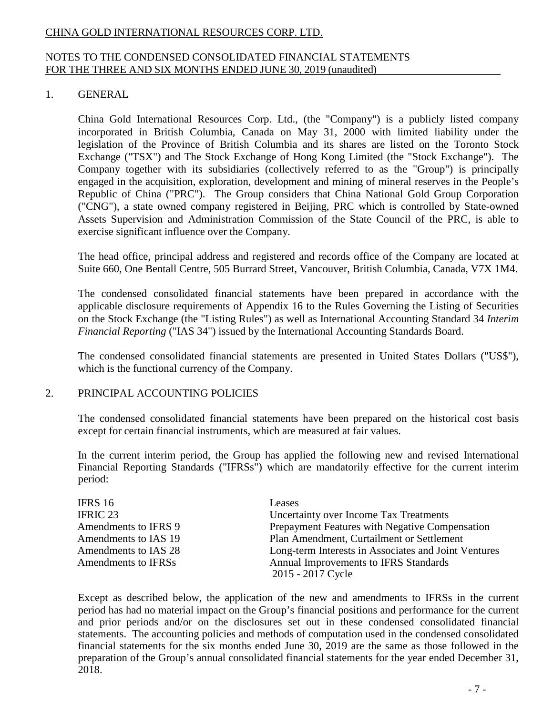# NOTES TO THE CONDENSED CONSOLIDATED FINANCIAL STATEMENTS FOR THE THREE AND SIX MONTHS ENDED JUNE 30, 2019 (unaudited)

# 1. GENERAL

China Gold International Resources Corp. Ltd., (the "Company") is a publicly listed company incorporated in British Columbia, Canada on May 31, 2000 with limited liability under the legislation of the Province of British Columbia and its shares are listed on the Toronto Stock Exchange ("TSX") and The Stock Exchange of Hong Kong Limited (the "Stock Exchange"). The Company together with its subsidiaries (collectively referred to as the "Group") is principally engaged in the acquisition, exploration, development and mining of mineral reserves in the People's Republic of China ("PRC"). The Group considers that China National Gold Group Corporation ("CNG"), a state owned company registered in Beijing, PRC which is controlled by State-owned Assets Supervision and Administration Commission of the State Council of the PRC, is able to exercise significant influence over the Company.

The head office, principal address and registered and records office of the Company are located at Suite 660, One Bentall Centre, 505 Burrard Street, Vancouver, British Columbia, Canada, V7X 1M4.

The condensed consolidated financial statements have been prepared in accordance with the applicable disclosure requirements of Appendix 16 to the Rules Governing the Listing of Securities on the Stock Exchange (the "Listing Rules") as well as International Accounting Standard 34 *Interim Financial Reporting* ("IAS 34") issued by the International Accounting Standards Board.

The condensed consolidated financial statements are presented in United States Dollars ("US\$"), which is the functional currency of the Company.

### 2. PRINCIPAL ACCOUNTING POLICIES

The condensed consolidated financial statements have been prepared on the historical cost basis except for certain financial instruments, which are measured at fair values.

In the current interim period, the Group has applied the following new and revised International Financial Reporting Standards ("IFRSs") which are mandatorily effective for the current interim period:

| IFRS 16              | Leases                                                     |
|----------------------|------------------------------------------------------------|
| <b>IFRIC 23</b>      | Uncertainty over Income Tax Treatments                     |
| Amendments to IFRS 9 | Prepayment Features with Negative Compensation             |
| Amendments to IAS 19 | Plan Amendment, Curtailment or Settlement                  |
| Amendments to IAS 28 | Long-term Interests in Associates and Joint Ventures       |
| Amendments to IFRSs  | Annual Improvements to IFRS Standards<br>2015 - 2017 Cycle |

Except as described below, the application of the new and amendments to IFRSs in the current period has had no material impact on the Group's financial positions and performance for the current and prior periods and/or on the disclosures set out in these condensed consolidated financial statements. The accounting policies and methods of computation used in the condensed consolidated financial statements for the six months ended June 30, 2019 are the same as those followed in the preparation of the Group's annual consolidated financial statements for the year ended December 31, 2018.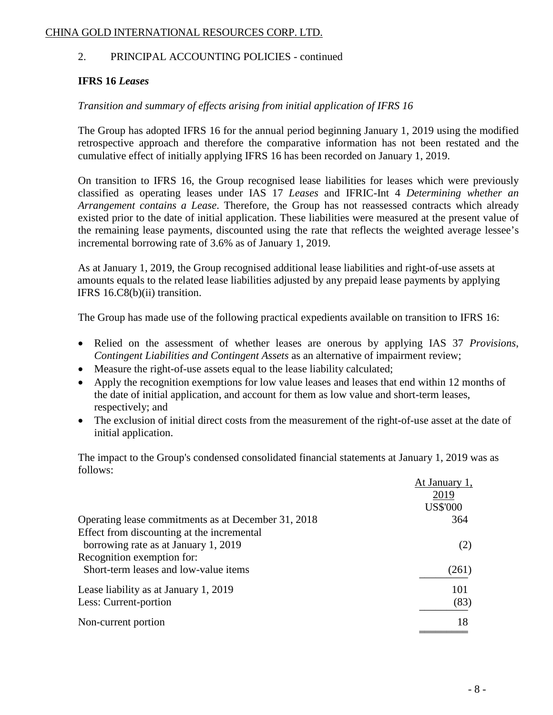# 2. PRINCIPAL ACCOUNTING POLICIES - continued

# **IFRS 16** *Leases*

# *Transition and summary of effects arising from initial application of IFRS 16*

The Group has adopted IFRS 16 for the annual period beginning January 1, 2019 using the modified retrospective approach and therefore the comparative information has not been restated and the cumulative effect of initially applying IFRS 16 has been recorded on January 1, 2019.

On transition to IFRS 16, the Group recognised lease liabilities for leases which were previously classified as operating leases under IAS 17 *Leases* and IFRIC-Int 4 *Determining whether an Arrangement contains a Lease*. Therefore, the Group has not reassessed contracts which already existed prior to the date of initial application. These liabilities were measured at the present value of the remaining lease payments, discounted using the rate that reflects the weighted average lessee's incremental borrowing rate of 3.6% as of January 1, 2019.

As at January 1, 2019, the Group recognised additional lease liabilities and right-of-use assets at amounts equals to the related lease liabilities adjusted by any prepaid lease payments by applying IFRS 16.C8(b)(ii) transition.

The Group has made use of the following practical expedients available on transition to IFRS 16:

- Relied on the assessment of whether leases are onerous by applying IAS 37 *Provisions*, *Contingent Liabilities and Contingent Assets* as an alternative of impairment review;
- Measure the right-of-use assets equal to the lease liability calculated;
- Apply the recognition exemptions for low value leases and leases that end within 12 months of the date of initial application, and account for them as low value and short-term leases, respectively; and
- The exclusion of initial direct costs from the measurement of the right-of-use asset at the date of initial application.

The impact to the Group's condensed consolidated financial statements at January 1, 2019 was as follows:

|                                                     | At January 1,   |
|-----------------------------------------------------|-----------------|
|                                                     | 2019            |
|                                                     | <b>US\$'000</b> |
| Operating lease commitments as at December 31, 2018 | 364             |
| Effect from discounting at the incremental          |                 |
| borrowing rate as at January 1, 2019                | (2)             |
| Recognition exemption for:                          |                 |
| Short-term leases and low-value items               | (261)           |
| Lease liability as at January 1, 2019               | 101             |
| Less: Current-portion                               | (83)            |
| Non-current portion                                 | 18              |
|                                                     |                 |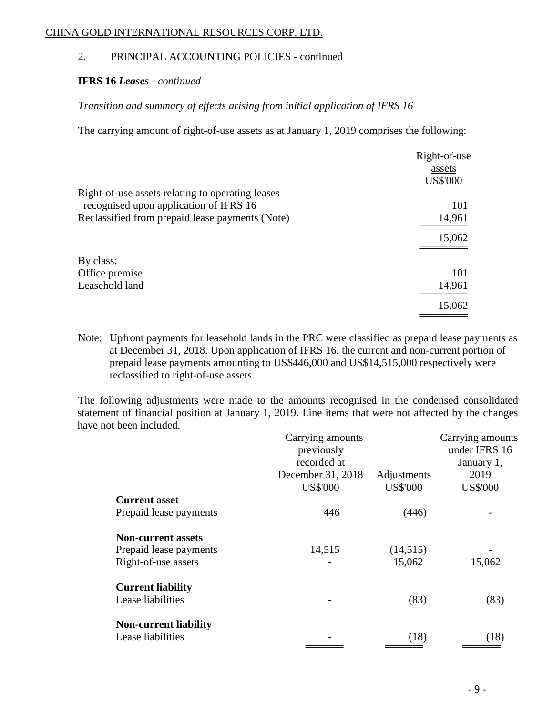# 2. PRINCIPAL ACCOUNTING POLICIES - continued

### **IFRS 16** *Leases - continued*

# *Transition and summary of effects arising from initial application of IFRS 16*

The carrying amount of right-of-use assets as at January 1, 2019 comprises the following:

|                                                  | Right-of-use    |
|--------------------------------------------------|-----------------|
|                                                  | assets          |
|                                                  | <b>US\$'000</b> |
| Right-of-use assets relating to operating leases |                 |
| recognised upon application of IFRS 16           | 101             |
| Reclassified from prepaid lease payments (Note)  | 14,961          |
|                                                  | 15,062          |
|                                                  |                 |
|                                                  | 101             |
| Leasehold land                                   | 14,961          |
|                                                  | 15,062          |
| By class:<br>Office premise                      |                 |

Note: Upfront payments for leasehold lands in the PRC were classified as prepaid lease payments as at December 31, 2018. Upon application of IFRS 16, the current and non-current portion of prepaid lease payments amounting to US\$446,000 and US\$14,515,000 respectively were reclassified to right-of-use assets.

The following adjustments were made to the amounts recognised in the condensed consolidated statement of financial position at January 1, 2019. Line items that were not affected by the changes have not been included.

|                              | Carrying amounts  |                 | Carrying amounts |
|------------------------------|-------------------|-----------------|------------------|
|                              | previously        |                 | under IFRS 16    |
|                              | recorded at       |                 | January 1,       |
|                              | December 31, 2018 | Adjustments     | 2019             |
|                              | <b>US\$'000</b>   | <b>US\$'000</b> | <b>US\$'000</b>  |
| <b>Current asset</b>         |                   |                 |                  |
| Prepaid lease payments       | 446               | (446)           |                  |
| <b>Non-current assets</b>    |                   |                 |                  |
| Prepaid lease payments       | 14,515            | (14, 515)       |                  |
| Right-of-use assets          |                   | 15,062          | 15,062           |
| <b>Current liability</b>     |                   |                 |                  |
| Lease liabilities            |                   | (83)            | (83)             |
| <b>Non-current liability</b> |                   |                 |                  |
| Lease liabilities            |                   | (18)            | (18)             |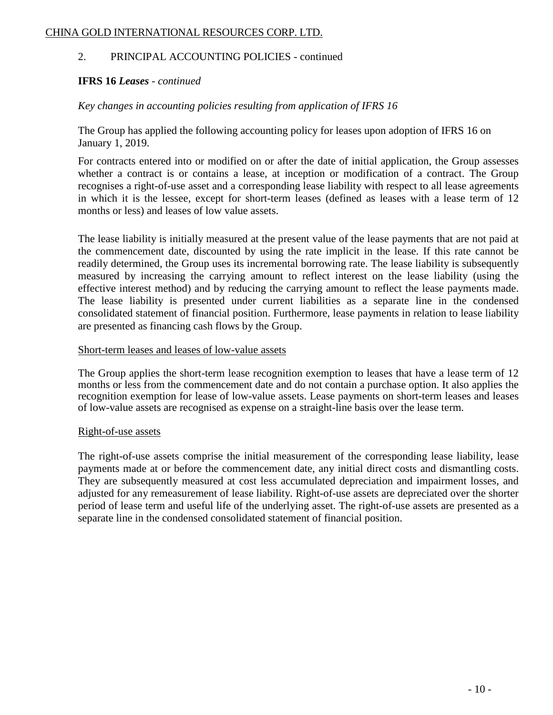### 2. PRINCIPAL ACCOUNTING POLICIES - continued

### **IFRS 16** *Leases - continued*

### *Key changes in accounting policies resulting from application of IFRS 16*

The Group has applied the following accounting policy for leases upon adoption of IFRS 16 on January 1, 2019.

For contracts entered into or modified on or after the date of initial application, the Group assesses whether a contract is or contains a lease, at inception or modification of a contract. The Group recognises a right-of-use asset and a corresponding lease liability with respect to all lease agreements in which it is the lessee, except for short-term leases (defined as leases with a lease term of 12 months or less) and leases of low value assets.

The lease liability is initially measured at the present value of the lease payments that are not paid at the commencement date, discounted by using the rate implicit in the lease. If this rate cannot be readily determined, the Group uses its incremental borrowing rate. The lease liability is subsequently measured by increasing the carrying amount to reflect interest on the lease liability (using the effective interest method) and by reducing the carrying amount to reflect the lease payments made. The lease liability is presented under current liabilities as a separate line in the condensed consolidated statement of financial position. Furthermore, lease payments in relation to lease liability are presented as financing cash flows by the Group.

### Short-term leases and leases of low-value assets

The Group applies the short-term lease recognition exemption to leases that have a lease term of 12 months or less from the commencement date and do not contain a purchase option. It also applies the recognition exemption for lease of low-value assets. Lease payments on short-term leases and leases of low-value assets are recognised as expense on a straight-line basis over the lease term.

### Right-of-use assets

The right-of-use assets comprise the initial measurement of the corresponding lease liability, lease payments made at or before the commencement date, any initial direct costs and dismantling costs. They are subsequently measured at cost less accumulated depreciation and impairment losses, and adjusted for any remeasurement of lease liability. Right-of-use assets are depreciated over the shorter period of lease term and useful life of the underlying asset. The right-of-use assets are presented as a separate line in the condensed consolidated statement of financial position.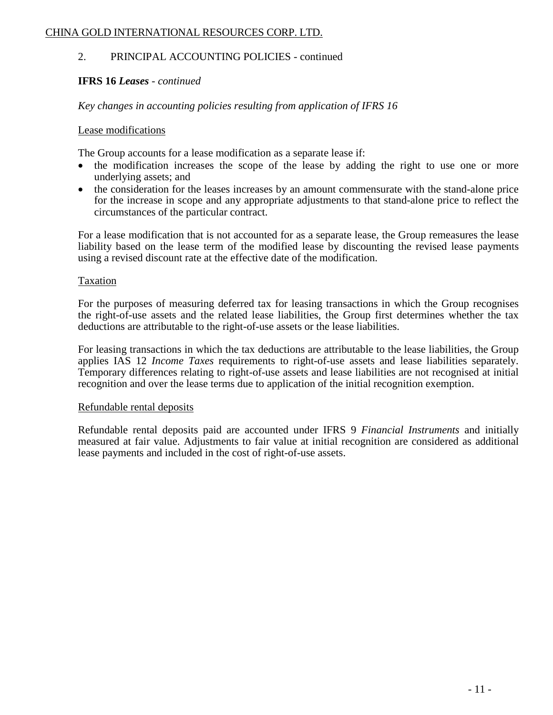# 2. PRINCIPAL ACCOUNTING POLICIES - continued

### **IFRS 16** *Leases - continued*

### *Key changes in accounting policies resulting from application of IFRS 16*

### Lease modifications

The Group accounts for a lease modification as a separate lease if:

- the modification increases the scope of the lease by adding the right to use one or more underlying assets; and
- the consideration for the leases increases by an amount commensurate with the stand-alone price for the increase in scope and any appropriate adjustments to that stand-alone price to reflect the circumstances of the particular contract.

For a lease modification that is not accounted for as a separate lease, the Group remeasures the lease liability based on the lease term of the modified lease by discounting the revised lease payments using a revised discount rate at the effective date of the modification.

### Taxation

For the purposes of measuring deferred tax for leasing transactions in which the Group recognises the right-of-use assets and the related lease liabilities, the Group first determines whether the tax deductions are attributable to the right-of-use assets or the lease liabilities.

For leasing transactions in which the tax deductions are attributable to the lease liabilities, the Group applies IAS 12 *Income Taxes* requirements to right-of-use assets and lease liabilities separately. Temporary differences relating to right-of-use assets and lease liabilities are not recognised at initial recognition and over the lease terms due to application of the initial recognition exemption.

### Refundable rental deposits

Refundable rental deposits paid are accounted under IFRS 9 *Financial Instruments* and initially measured at fair value. Adjustments to fair value at initial recognition are considered as additional lease payments and included in the cost of right-of-use assets.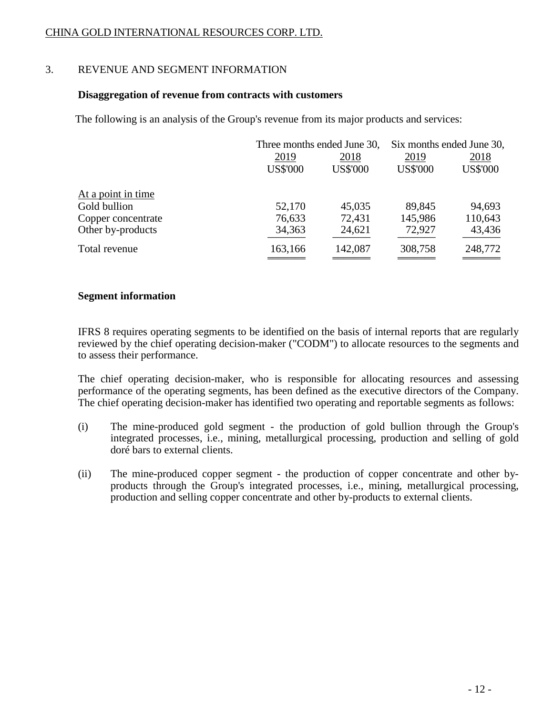# 3. REVENUE AND SEGMENT INFORMATION

### **Disaggregation of revenue from contracts with customers**

The following is an analysis of the Group's revenue from its major products and services:

|                    |                 | Three months ended June 30, |                 | Six months ended June 30, |  |
|--------------------|-----------------|-----------------------------|-----------------|---------------------------|--|
|                    | 2019            | 2018                        | 2019            | 2018                      |  |
|                    | <b>US\$'000</b> | <b>US\$'000</b>             | <b>US\$'000</b> | <b>US\$'000</b>           |  |
| At a point in time |                 |                             |                 |                           |  |
| Gold bullion       | 52,170          | 45,035                      | 89,845          | 94,693                    |  |
| Copper concentrate | 76,633          | 72,431                      | 145,986         | 110,643                   |  |
| Other by-products  | 34,363          | 24,621                      | 72,927          | 43,436                    |  |
| Total revenue      | 163,166         | 142,087                     | 308,758         | 248,772                   |  |
|                    |                 |                             |                 |                           |  |

### **Segment information**

IFRS 8 requires operating segments to be identified on the basis of internal reports that are regularly reviewed by the chief operating decision-maker ("CODM") to allocate resources to the segments and to assess their performance.

The chief operating decision-maker, who is responsible for allocating resources and assessing performance of the operating segments, has been defined as the executive directors of the Company. The chief operating decision-maker has identified two operating and reportable segments as follows:

- (i) The mine-produced gold segment the production of gold bullion through the Group's integrated processes, i.e., mining, metallurgical processing, production and selling of gold doré bars to external clients.
- (ii) The mine-produced copper segment the production of copper concentrate and other byproducts through the Group's integrated processes, i.e., mining, metallurgical processing, production and selling copper concentrate and other by-products to external clients.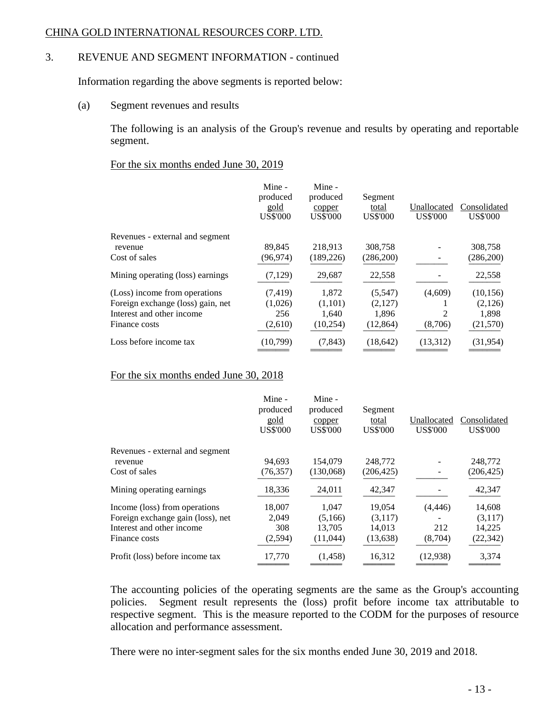# 3. REVENUE AND SEGMENT INFORMATION - continued

Information regarding the above segments is reported below:

(a) Segment revenues and results

The following is an analysis of the Group's revenue and results by operating and reportable segment.

### For the six months ended June 30, 2019

|                                   | Mine -<br>produced<br>gold<br><b>US\$'000</b> | Mine -<br>produced<br>copper<br><b>US\$'000</b> | Segment<br>total<br><b>US\$'000</b> | Unallocated<br><b>US\$'000</b> | Consolidated<br><b>US\$'000</b> |
|-----------------------------------|-----------------------------------------------|-------------------------------------------------|-------------------------------------|--------------------------------|---------------------------------|
| Revenues - external and segment   |                                               |                                                 |                                     |                                |                                 |
| revenue                           | 89,845                                        | 218,913                                         | 308,758                             |                                | 308,758                         |
| Cost of sales                     | (96, 974)                                     | (189, 226)                                      | (286,200)                           |                                | (286, 200)                      |
| Mining operating (loss) earnings  | (7,129)                                       | 29,687                                          | 22,558                              |                                | 22,558                          |
| (Loss) income from operations     | (7, 419)                                      | 1,872                                           | (5,547)                             | (4,609)                        | (10, 156)                       |
| Foreign exchange (loss) gain, net | (1,026)                                       | (1,101)                                         | (2,127)                             |                                | (2,126)                         |
| Interest and other income         | 256                                           | 1,640                                           | 1,896                               | 2                              | 1,898                           |
| Finance costs                     | (2,610)                                       | (10, 254)                                       | (12, 864)                           | (8,706)                        | (21,570)                        |
| Loss before income tax            | (10,799)                                      | (7, 843)                                        | (18, 642)                           | (13,312)                       | (31,954)                        |

### For the six months ended June 30, 2018

|                                   | Mine -<br>produced<br>gold<br><b>US\$'000</b> | Mine -<br>produced<br>copper<br><b>US\$'000</b> | Segment<br>total<br><b>US\$'000</b> | Unallocated<br><b>US\$'000</b> | Consolidated<br><b>US\$'000</b> |
|-----------------------------------|-----------------------------------------------|-------------------------------------------------|-------------------------------------|--------------------------------|---------------------------------|
| Revenues - external and segment   |                                               |                                                 |                                     |                                |                                 |
| revenue                           | 94,693                                        | 154,079                                         | 248,772                             |                                | 248,772                         |
| Cost of sales                     | (76, 357)                                     | (130,068)                                       | (206, 425)                          |                                | (206, 425)                      |
| Mining operating earnings.        | 18,336                                        | 24,011                                          | 42,347                              |                                | 42,347                          |
| Income (loss) from operations     | 18,007                                        | 1,047                                           | 19,054                              | (4, 446)                       | 14,608                          |
| Foreign exchange gain (loss), net | 2,049                                         | (5,166)                                         | (3,117)                             |                                | (3,117)                         |
| Interest and other income         | 308                                           | 13,705                                          | 14,013                              | 212                            | 14,225                          |
| Finance costs                     | (2, 594)                                      | (11,044)                                        | (13,638)                            | (8,704)                        | (22, 342)                       |
| Profit (loss) before income tax   | 17,770                                        | (1,458)                                         | 16,312                              | (12,938)                       | 3,374                           |

The accounting policies of the operating segments are the same as the Group's accounting policies. Segment result represents the (loss) profit before income tax attributable to respective segment. This is the measure reported to the CODM for the purposes of resource allocation and performance assessment.

There were no inter-segment sales for the six months ended June 30, 2019 and 2018.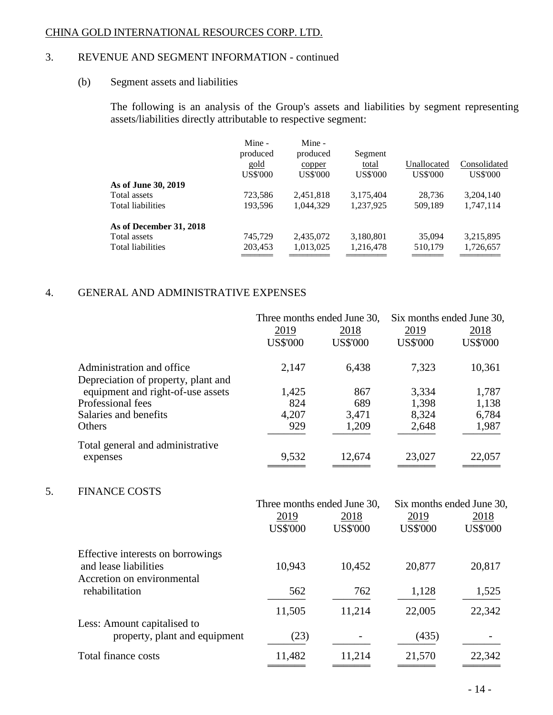# 3. REVENUE AND SEGMENT INFORMATION - continued

# (b) Segment assets and liabilities

The following is an analysis of the Group's assets and liabilities by segment representing assets/liabilities directly attributable to respective segment:

|                          | Mine -<br>produced<br>gold<br><b>US\$'000</b> | Mine -<br>produced<br>copper<br><b>US\$'000</b> | Segment<br>total<br><b>US\$'000</b> | Unallocated<br><b>US\$'000</b> | Consolidated<br><b>US\$'000</b> |
|--------------------------|-----------------------------------------------|-------------------------------------------------|-------------------------------------|--------------------------------|---------------------------------|
| As of June 30, 2019      |                                               |                                                 |                                     |                                |                                 |
| Total assets             | 723,586                                       | 2,451,818                                       | 3,175,404                           | 28.736                         | 3,204,140                       |
| <b>Total liabilities</b> | 193,596                                       | 1,044,329                                       | 1,237,925                           | 509,189                        | 1,747,114                       |
| As of December 31, 2018  |                                               |                                                 |                                     |                                |                                 |
| Total assets             | 745,729                                       | 2,435,072                                       | 3,180,801                           | 35,094                         | 3,215,895                       |
| Total liabilities        | 203,453                                       | 1,013,025                                       | 1,216,478                           | 510,179                        | 1,726,657                       |
|                          |                                               |                                                 |                                     |                                |                                 |

# 4. GENERAL AND ADMINISTRATIVE EXPENSES

|    |                                                                                          | Three months ended June 30,<br>2019<br><b>US\$'000</b> | 2018<br><b>US\$'000</b> | Six months ended June 30,<br>2019<br><b>US\$'000</b> | 2018<br><b>US\$'000</b>   |
|----|------------------------------------------------------------------------------------------|--------------------------------------------------------|-------------------------|------------------------------------------------------|---------------------------|
|    | Administration and office<br>Depreciation of property, plant and                         | 2,147                                                  | 6,438                   | 7,323                                                | 10,361                    |
|    | equipment and right-of-use assets                                                        | 1,425                                                  | 867                     | 3,334                                                | 1,787                     |
|    | Professional fees                                                                        | 824                                                    | 689                     | 1,398                                                | 1,138                     |
|    | Salaries and benefits<br>Others                                                          | 4,207<br>929                                           | 3,471<br>1,209          | 8,324<br>2,648                                       | 6,784<br>1,987            |
|    | Total general and administrative<br>expenses                                             | 9,532                                                  | 12,674                  | 23,027                                               | 22,057                    |
| 5. | <b>FINANCE COSTS</b>                                                                     |                                                        |                         |                                                      |                           |
|    |                                                                                          | Three months ended June 30,                            |                         |                                                      | Six months ended June 30, |
|    |                                                                                          | 2019                                                   | 2018                    | 2019                                                 | 2018                      |
|    |                                                                                          | <b>US\$'000</b>                                        | <b>US\$'000</b>         | <b>US\$'000</b>                                      | <b>US\$'000</b>           |
|    | Effective interests on borrowings<br>and lease liabilities<br>Accretion on environmental | 10,943                                                 | 10,452                  | 20,877                                               | 20,817                    |
|    | rehabilitation                                                                           | 562                                                    | 762                     | 1,128                                                | 1,525                     |
|    |                                                                                          | 11,505                                                 | 11,214                  | 22,005                                               | 22,342                    |
|    | Less: Amount capitalised to<br>property, plant and equipment                             | (23)                                                   |                         | (435)                                                |                           |
|    | <b>Total finance costs</b>                                                               | 11,482                                                 | 11,214                  | 21,570                                               | 22,342                    |
|    |                                                                                          |                                                        |                         |                                                      |                           |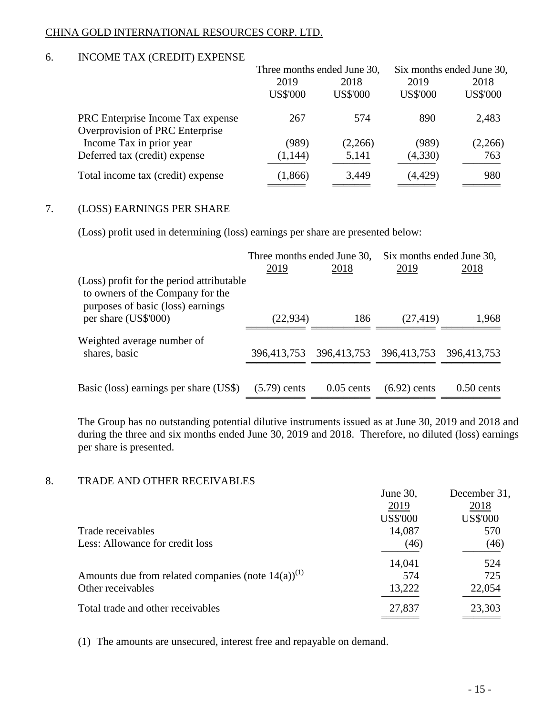# 6. INCOME TAX (CREDIT) EXPENSE

|                                   | Three months ended June 30, |                 | Six months ended June 30, |                 |
|-----------------------------------|-----------------------------|-----------------|---------------------------|-----------------|
|                                   | 2019                        | 2018            | 2019                      | 2018            |
|                                   | <b>US\$'000</b>             | <b>US\$'000</b> | <b>US\$'000</b>           | <b>US\$'000</b> |
| PRC Enterprise Income Tax expense | 267                         | 574             | 890                       | 2,483           |
| Overprovision of PRC Enterprise   |                             |                 |                           |                 |
| Income Tax in prior year          | (989)                       | (2,266)         | (989)                     | (2,266)         |
| Deferred tax (credit) expense     | (1, 144)                    | 5,141           | (4,330)                   | 763             |
| Total income tax (credit) expense | (1,866)                     | 3,449           | (4, 429)                  | 980             |
|                                   |                             |                 |                           |                 |

# 7. (LOSS) EARNINGS PER SHARE

(Loss) profit used in determining (loss) earnings per share are presented below:

|                                                                                                                    | Three months ended June 30, |              | Six months ended June 30, |              |
|--------------------------------------------------------------------------------------------------------------------|-----------------------------|--------------|---------------------------|--------------|
|                                                                                                                    | 2019                        | 2018         | 2019                      | 2018         |
| (Loss) profit for the period attributable<br>to owners of the Company for the<br>purposes of basic (loss) earnings |                             |              |                           |              |
| per share (US\$'000)                                                                                               | (22, 934)                   | 186          | (27, 419)                 | 1,968        |
| Weighted average number of                                                                                         |                             |              |                           |              |
| shares, basic                                                                                                      | 396,413,753                 |              | 396,413,753 396,413,753   | 396,413,753  |
|                                                                                                                    |                             |              |                           |              |
| Basic (loss) earnings per share (US\$)                                                                             | $(5.79)$ cents              | $0.05$ cents | $(6.92)$ cents            | $0.50$ cents |

The Group has no outstanding potential dilutive instruments issued as at June 30, 2019 and 2018 and during the three and six months ended June 30, 2019 and 2018. Therefore, no diluted (loss) earnings per share is presented.

### 8. TRADE AND OTHER RECEIVABLES

| 110.000 / 1110 / 0.1110 / 10.000 / 11.000 / 11                    |                 |                 |
|-------------------------------------------------------------------|-----------------|-----------------|
|                                                                   | June 30,        | December 31,    |
|                                                                   | 2019            | 2018            |
|                                                                   | <b>US\$'000</b> | <b>US\$'000</b> |
| Trade receivables                                                 | 14,087          | 570             |
| Less: Allowance for credit loss                                   | (46)            | (46)            |
|                                                                   | 14,041          | 524             |
| Amounts due from related companies (note $14(a)$ ) <sup>(1)</sup> | 574             | 725             |
| Other receivables                                                 | 13,222          | 22,054          |
| Total trade and other receivables                                 | 27,837          | 23,303          |
|                                                                   |                 |                 |

(1) The amounts are unsecured, interest free and repayable on demand.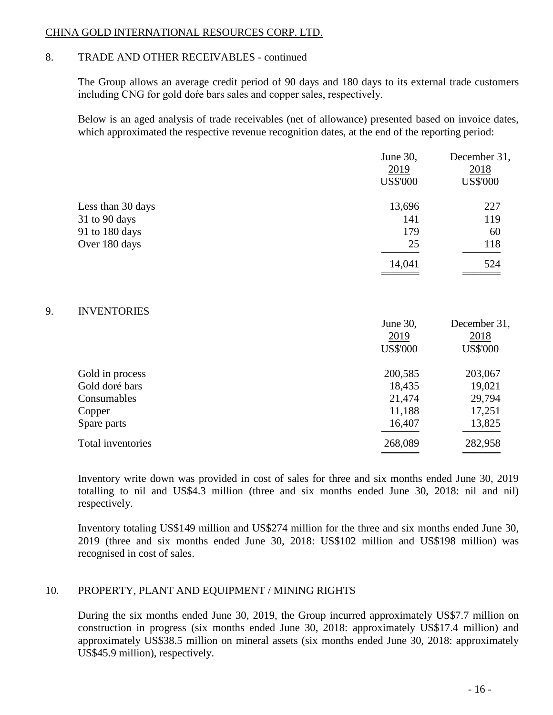# 8. TRADE AND OTHER RECEIVABLES - continued

The Group allows an average credit period of 90 days and 180 days to its external trade customers including CNG for gold doŕe bars sales and copper sales, respectively.

Below is an aged analysis of trade receivables (net of allowance) presented based on invoice dates, which approximated the respective revenue recognition dates, at the end of the reporting period:

|                   | June 30,<br>2019<br><b>US\$'000</b> | December 31,<br>2018<br><b>US\$'000</b> |
|-------------------|-------------------------------------|-----------------------------------------|
| Less than 30 days | 13,696                              | 227                                     |
| 31 to 90 days     | 141                                 | 119                                     |
| 91 to 180 days    | 179                                 | 60                                      |
| Over 180 days     | 25                                  | 118                                     |
|                   | 14,041                              | 524                                     |
|                   |                                     |                                         |

### 9. INVENTORIES

|                   | June 30,        | December 31,    |
|-------------------|-----------------|-----------------|
|                   | 2019            | 2018            |
|                   | <b>US\$'000</b> | <b>US\$'000</b> |
| Gold in process   | 200,585         | 203,067         |
| Gold doré bars    | 18,435          | 19,021          |
| Consumables       | 21,474          | 29,794          |
| Copper            | 11,188          | 17,251          |
| Spare parts       | 16,407          | 13,825          |
| Total inventories | 268,089         | 282,958         |
|                   |                 |                 |

Inventory write down was provided in cost of sales for three and six months ended June 30, 2019 totalling to nil and US\$4.3 million (three and six months ended June 30, 2018: nil and nil) respectively.

Inventory totaling US\$149 million and US\$274 million for the three and six months ended June 30, 2019 (three and six months ended June 30, 2018: US\$102 million and US\$198 million) was recognised in cost of sales.

# 10. PROPERTY, PLANT AND EQUIPMENT / MINING RIGHTS

During the six months ended June 30, 2019, the Group incurred approximately US\$7.7 million on construction in progress (six months ended June 30, 2018: approximately US\$17.4 million) and approximately US\$38.5 million on mineral assets (six months ended June 30, 2018: approximately US\$45.9 million), respectively.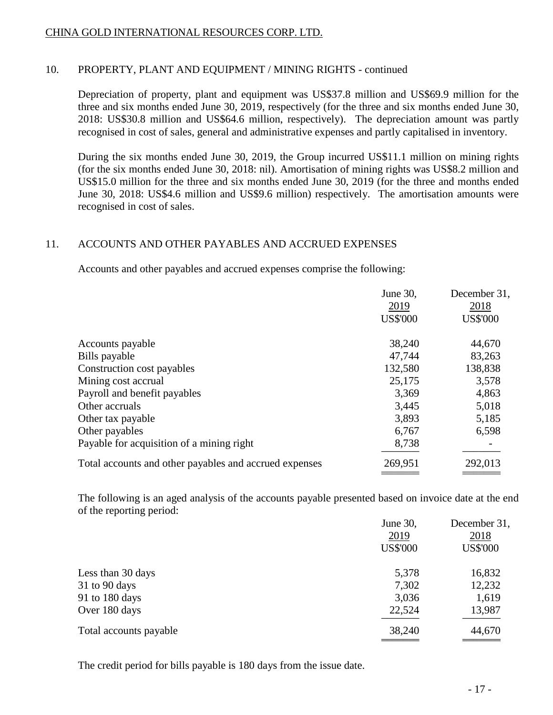# 10. PROPERTY, PLANT AND EQUIPMENT / MINING RIGHTS - continued

Depreciation of property, plant and equipment was US\$37.8 million and US\$69.9 million for the three and six months ended June 30, 2019, respectively (for the three and six months ended June 30, 2018: US\$30.8 million and US\$64.6 million, respectively). The depreciation amount was partly recognised in cost of sales, general and administrative expenses and partly capitalised in inventory.

During the six months ended June 30, 2019, the Group incurred US\$11.1 million on mining rights (for the six months ended June 30, 2018: nil). Amortisation of mining rights was US\$8.2 million and US\$15.0 million for the three and six months ended June 30, 2019 (for the three and months ended June 30, 2018: US\$4.6 million and US\$9.6 million) respectively. The amortisation amounts were recognised in cost of sales.

### 11. ACCOUNTS AND OTHER PAYABLES AND ACCRUED EXPENSES

Accounts and other payables and accrued expenses comprise the following:

|                                                        | June 30,        | December 31,    |
|--------------------------------------------------------|-----------------|-----------------|
|                                                        | 2019            | 2018            |
|                                                        | <b>US\$'000</b> | <b>US\$'000</b> |
| Accounts payable                                       | 38,240          | 44,670          |
| Bills payable                                          | 47,744          | 83,263          |
| Construction cost payables                             | 132,580         | 138,838         |
| Mining cost accrual                                    | 25,175          | 3,578           |
| Payroll and benefit payables                           | 3,369           | 4,863           |
| Other accruals                                         | 3,445           | 5,018           |
| Other tax payable                                      | 3,893           | 5,185           |
| Other payables                                         | 6,767           | 6,598           |
| Payable for acquisition of a mining right              | 8,738           |                 |
| Total accounts and other payables and accrued expenses | 269,951         | 292,013         |
|                                                        |                 |                 |

The following is an aged analysis of the accounts payable presented based on invoice date at the end of the reporting period:

|                          | June 30,        | December 31,    |
|--------------------------|-----------------|-----------------|
|                          | 2019            | 2018            |
|                          | <b>US\$'000</b> | <b>US\$'000</b> |
| Less than 30 days        | 5,378           | 16,832          |
| 31 to 90 days            | 7,302           | 12,232          |
| 91 to $180 \text{ days}$ | 3,036           | 1,619           |
| Over 180 days            | 22,524          | 13,987          |
| Total accounts payable   | 38,240          | 44,670          |
|                          |                 |                 |

The credit period for bills payable is 180 days from the issue date.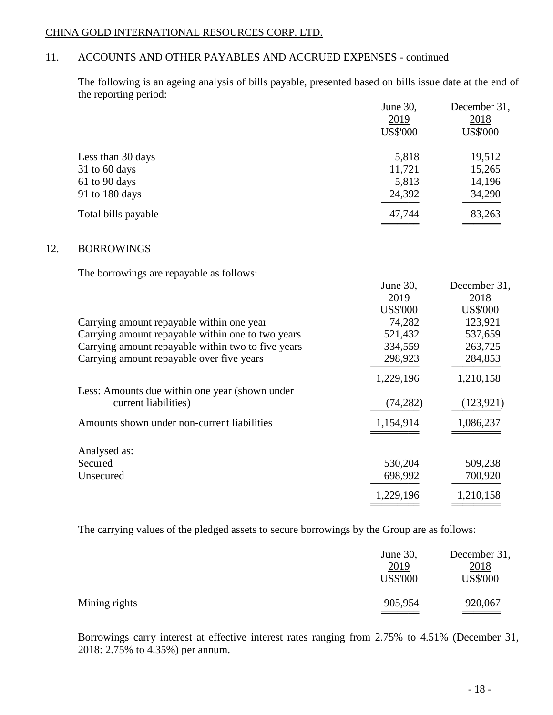# 11. ACCOUNTS AND OTHER PAYABLES AND ACCRUED EXPENSES - continued

The following is an ageing analysis of bills payable, presented based on bills issue date at the end of the reporting period:

|                     | June 30,        | December 31,    |
|---------------------|-----------------|-----------------|
|                     | 2019            | 2018            |
|                     | <b>US\$'000</b> | <b>US\$'000</b> |
| Less than 30 days   | 5,818           | 19,512          |
| $31$ to 60 days     | 11,721          | 15,265          |
| 61 to 90 days       | 5,813           | 14,196          |
| 91 to 180 days      | 24,392          | 34,290          |
| Total bills payable | 47,744          | 83,263          |
|                     |                 |                 |

### 12. BORROWINGS

The borrowings are repayable as follows:

|                                                    | June 30,        | December 31,    |
|----------------------------------------------------|-----------------|-----------------|
|                                                    | 2019            | 2018            |
|                                                    | <b>US\$'000</b> | <b>US\$'000</b> |
| Carrying amount repayable within one year          | 74,282          | 123,921         |
| Carrying amount repayable within one to two years  | 521,432         | 537,659         |
| Carrying amount repayable within two to five years | 334,559         | 263,725         |
| Carrying amount repayable over five years          | 298,923         | 284,853         |
|                                                    | 1,229,196       | 1,210,158       |
| Less: Amounts due within one year (shown under     |                 |                 |
| current liabilities)                               | (74, 282)       | (123, 921)      |
| Amounts shown under non-current liabilities        | 1,154,914       | 1,086,237       |
|                                                    |                 |                 |
| Analysed as:                                       |                 |                 |
| Secured                                            | 530,204         | 509,238         |
| Unsecured                                          | 698,992         | 700,920         |
|                                                    | 1,229,196       | 1,210,158       |
|                                                    |                 |                 |

The carrying values of the pledged assets to secure borrowings by the Group are as follows:

|               | June 30,<br>2019<br><b>US\$'000</b> | December 31,<br><u>2018</u><br><b>US\$'000</b> |
|---------------|-------------------------------------|------------------------------------------------|
| Mining rights | 905,954                             | 920,067                                        |

Borrowings carry interest at effective interest rates ranging from 2.75% to 4.51% (December 31, 2018: 2.75% to 4.35%) per annum.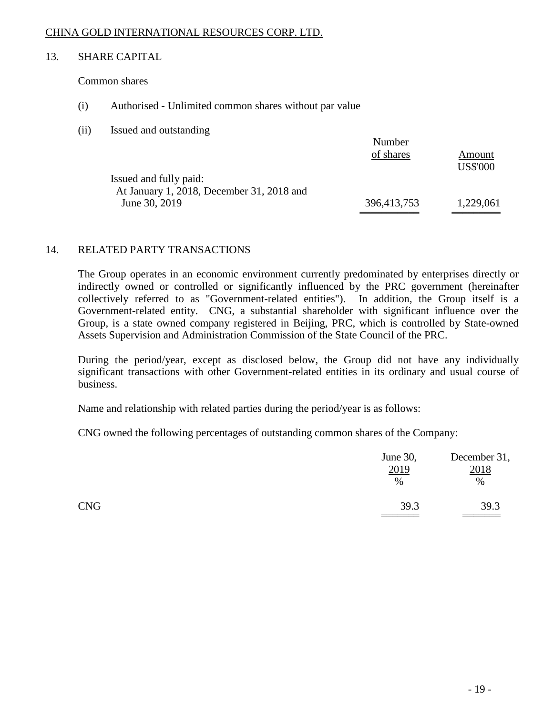### 13. SHARE CAPITAL

Common shares

- (i) Authorised Unlimited common shares without par value
- (ii) Issued and outstanding

|                                           | Number      |                 |
|-------------------------------------------|-------------|-----------------|
|                                           | of shares   | Amount          |
|                                           |             | <b>US\$'000</b> |
| Issued and fully paid:                    |             |                 |
| At January 1, 2018, December 31, 2018 and |             |                 |
| June 30, 2019                             | 396,413,753 | 1,229,061       |
|                                           |             |                 |

### 14. RELATED PARTY TRANSACTIONS

The Group operates in an economic environment currently predominated by enterprises directly or indirectly owned or controlled or significantly influenced by the PRC government (hereinafter collectively referred to as "Government-related entities"). In addition, the Group itself is a Government-related entity. CNG, a substantial shareholder with significant influence over the Group, is a state owned company registered in Beijing, PRC, which is controlled by State-owned Assets Supervision and Administration Commission of the State Council of the PRC.

During the period/year, except as disclosed below, the Group did not have any individually significant transactions with other Government-related entities in its ordinary and usual course of business.

Name and relationship with related parties during the period/year is as follows:

CNG owned the following percentages of outstanding common shares of the Company:

|            | June 30,<br>2019<br>$\%$ | December 31,<br>2018<br>$\%$ |
|------------|--------------------------|------------------------------|
| <b>CNG</b> | 39.3                     | 39.3                         |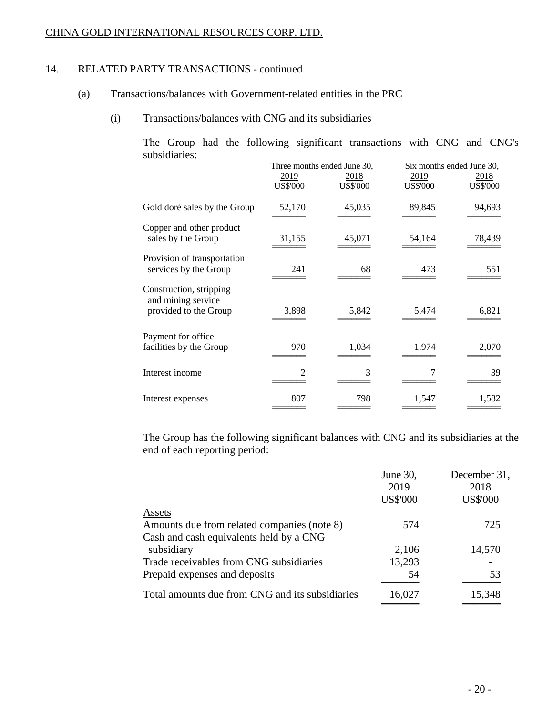### 14. RELATED PARTY TRANSACTIONS - continued

- (a) Transactions/balances with Government-related entities in the PRC
	- (i) Transactions/balances with CNG and its subsidiaries

The Group had the following significant transactions with CNG and CNG's subsidiaries:

|                                                                        | Three months ended June 30, |                         | Six months ended June 30, |                         |
|------------------------------------------------------------------------|-----------------------------|-------------------------|---------------------------|-------------------------|
|                                                                        | 2019<br><b>US\$'000</b>     | 2018<br><b>US\$'000</b> | 2019<br><b>US\$'000</b>   | 2018<br><b>US\$'000</b> |
| Gold doré sales by the Group                                           | 52,170                      | 45,035                  | 89,845                    | 94,693                  |
| Copper and other product<br>sales by the Group                         | 31,155                      | 45,071                  | 54,164                    | 78,439                  |
| Provision of transportation<br>services by the Group                   | 241                         | 68                      | 473                       | 551                     |
| Construction, stripping<br>and mining service<br>provided to the Group | 3,898                       | 5,842                   | 5,474                     | 6,821                   |
| Payment for office<br>facilities by the Group                          | 970                         | 1,034                   | 1,974                     | 2,070                   |
| Interest income                                                        | 2                           | 3                       |                           | 39                      |
| Interest expenses                                                      | 807                         | 798                     | 1,547                     | 1,582                   |

The Group has the following significant balances with CNG and its subsidiaries at the end of each reporting period:

|                                                 | June 30,        | December 31,    |
|-------------------------------------------------|-----------------|-----------------|
|                                                 | 2019            | 2018            |
|                                                 | <b>US\$'000</b> | <b>US\$'000</b> |
| Assets                                          |                 |                 |
| Amounts due from related companies (note 8)     | 574             | 725             |
| Cash and cash equivalents held by a CNG         |                 |                 |
| subsidiary                                      | 2,106           | 14,570          |
| Trade receivables from CNG subsidiaries         | 13,293          |                 |
| Prepaid expenses and deposits                   | 54              | 53              |
| Total amounts due from CNG and its subsidiaries | 16,027          | 15,348          |
|                                                 |                 |                 |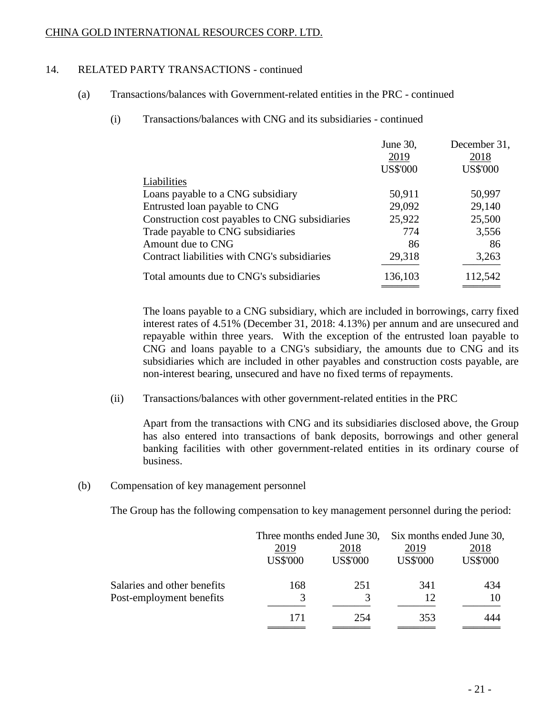# 14. RELATED PARTY TRANSACTIONS - continued

- (a) Transactions/balances with Government-related entities in the PRC continued
	- (i) Transactions/balances with CNG and its subsidiaries continued

|                                                | June 30,        | December 31,    |
|------------------------------------------------|-----------------|-----------------|
|                                                | 2019            | 2018            |
|                                                | <b>US\$'000</b> | <b>US\$'000</b> |
| Liabilities                                    |                 |                 |
| Loans payable to a CNG subsidiary              | 50,911          | 50,997          |
| Entrusted loan payable to CNG                  | 29,092          | 29,140          |
| Construction cost payables to CNG subsidiaries | 25,922          | 25,500          |
| Trade payable to CNG subsidiaries              | 774             | 3,556           |
| Amount due to CNG                              | 86              | 86              |
| Contract liabilities with CNG's subsidiaries   | 29,318          | 3,263           |
| Total amounts due to CNG's subsidiaries        | 136,103         | 112,542         |

The loans payable to a CNG subsidiary, which are included in borrowings, carry fixed interest rates of 4.51% (December 31, 2018: 4.13%) per annum and are unsecured and repayable within three years. With the exception of the entrusted loan payable to CNG and loans payable to a CNG's subsidiary, the amounts due to CNG and its subsidiaries which are included in other payables and construction costs payable, are non-interest bearing, unsecured and have no fixed terms of repayments.

(ii) Transactions/balances with other government-related entities in the PRC

Apart from the transactions with CNG and its subsidiaries disclosed above, the Group has also entered into transactions of bank deposits, borrowings and other general banking facilities with other government-related entities in its ordinary course of business.

(b) Compensation of key management personnel

The Group has the following compensation to key management personnel during the period:

|                             | Three months ended June 30, |                         | Six months ended June 30, |                         |
|-----------------------------|-----------------------------|-------------------------|---------------------------|-------------------------|
|                             | 2019<br><b>US\$'000</b>     | 2018<br><b>US\$'000</b> | 2019<br><b>US\$'000</b>   | 2018<br><b>US\$'000</b> |
| Salaries and other benefits | 168                         | 251                     | 341                       | 434                     |
| Post-employment benefits    | 3                           |                         | 12                        | 10                      |
|                             | 171                         | 254                     | 353                       | 444                     |